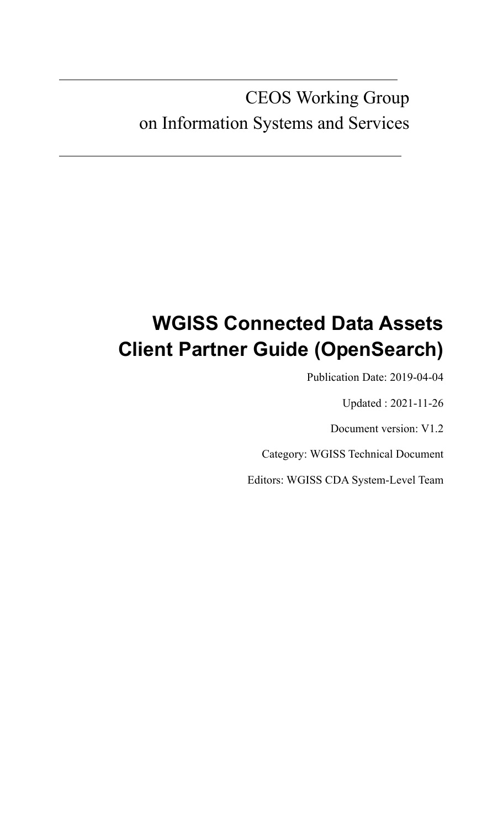# CEOS Working Group on Information Systems and Services

# **WGISS Connected Data Assets Client Partner Guide (OpenSearch)**

Publication Date: 2019-04-04

Updated : 2021-11-26

Document version: V1.2

Category: WGISS Technical Document

Editors: WGISS CDA System-Level Team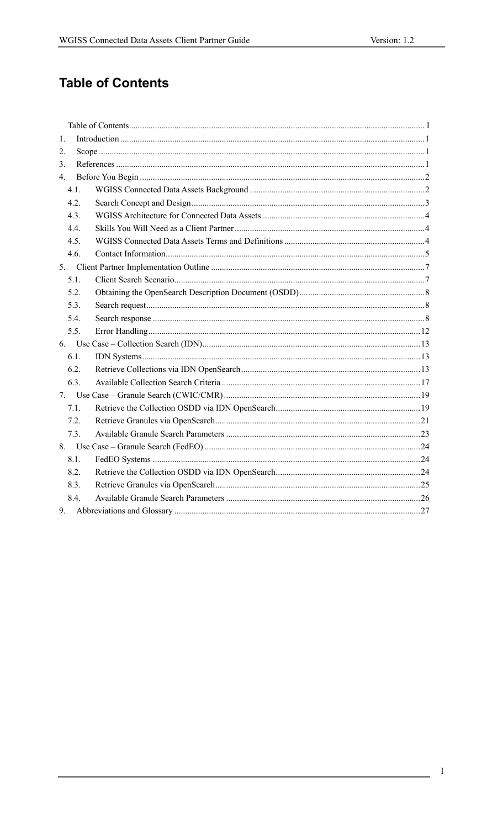# **Table of Contents**

| 1.   |  |
|------|--|
| 2.   |  |
| 3.   |  |
| 4.   |  |
| 4.1. |  |
| 4.2. |  |
| 4.3. |  |
| 4.4. |  |
| 4.5. |  |
| 4.6. |  |
|      |  |
| 5.1. |  |
| 5.2. |  |
| 5.3. |  |
| 5.4. |  |
| 5.5. |  |
|      |  |
| 6.1. |  |
| 6.2. |  |
| 6.3. |  |
|      |  |
| 7.1. |  |
| 7.2. |  |
| 7.3. |  |
|      |  |
| 8.1. |  |
| 8.2. |  |
| 8.3. |  |
| 8.4. |  |
|      |  |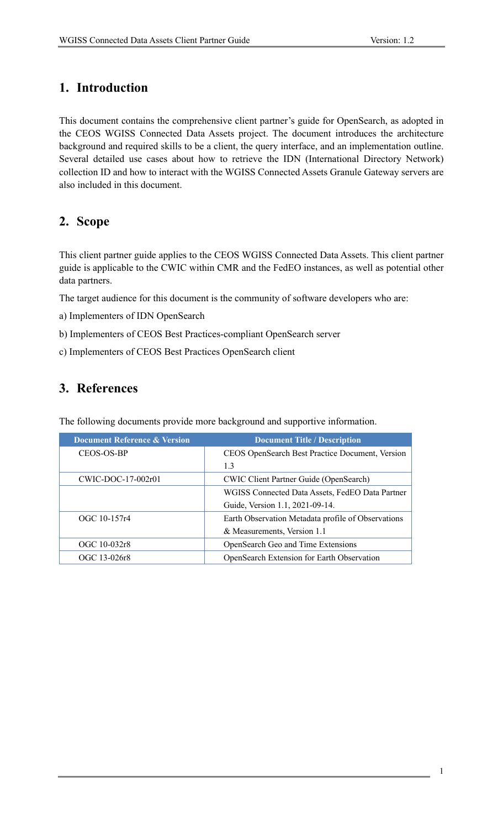# **1. Introduction**

This document contains the comprehensive client partner's guide for OpenSearch, as adopted in the CEOS WGISS Connected Data Assets project. The document introduces the architecture background and required skills to be a client, the query interface, and an implementation outline. Several detailed use cases about how to retrieve the IDN (International Directory Network) collection ID and how to interact with the WGISS Connected Assets Granule Gateway servers are also included in this document.

# **2. Scope**

This client partner guide applies to the CEOS WGISS Connected Data Assets. This client partner guide is applicable to the CWIC within CMR and the FedEO instances, as well as potential other data partners.

The target audience for this document is the community of software developers who are:

- a) Implementers of IDN OpenSearch
- b) Implementers of CEOS Best Practices-compliant OpenSearch server
- c) Implementers of CEOS Best Practices OpenSearch client

# **3. References**

| <b>Document Reference &amp; Version</b> | <b>Document Title / Description</b>                |  |
|-----------------------------------------|----------------------------------------------------|--|
| CEOS-OS-BP                              | CEOS OpenSearch Best Practice Document, Version    |  |
|                                         | 1.3                                                |  |
| $CWIC-DOC-17-002r01$                    | <b>CWIC Client Partner Guide (OpenSearch)</b>      |  |
|                                         | WGISS Connected Data Assets, FedEO Data Partner    |  |
|                                         | Guide, Version 1.1, 2021-09-14.                    |  |
| OGC 10-157r4                            | Earth Observation Metadata profile of Observations |  |
|                                         | & Measurements, Version 1.1                        |  |
| OGC 10-032r8                            | OpenSearch Geo and Time Extensions                 |  |
| OGC 13-026r8                            | OpenSearch Extension for Earth Observation         |  |

The following documents provide more background and supportive information.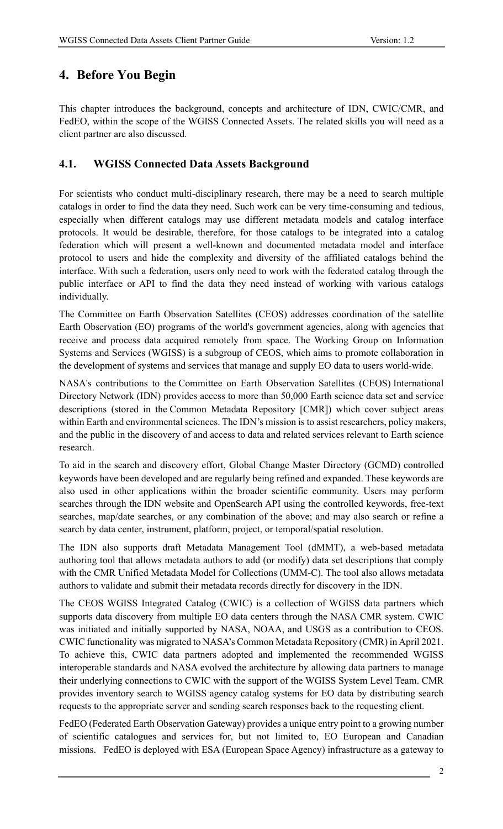# **4. Before You Begin**

This chapter introduces the background, concepts and architecture of IDN, CWIC/CMR, and FedEO, within the scope of the WGISS Connected Assets. The related skills you will need as a client partner are also discussed.

## **4.1. WGISS Connected Data Assets Background**

For scientists who conduct multi-disciplinary research, there may be a need to search multiple catalogs in order to find the data they need. Such work can be very time-consuming and tedious, especially when different catalogs may use different metadata models and catalog interface protocols. It would be desirable, therefore, for those catalogs to be integrated into a catalog federation which will present a well-known and documented metadata model and interface protocol to users and hide the complexity and diversity of the affiliated catalogs behind the interface. With such a federation, users only need to work with the federated catalog through the public interface or API to find the data they need instead of working with various catalogs individually.

The Committee on Earth Observation Satellites (CEOS) addresses coordination of the satellite Earth Observation (EO) programs of the world's government agencies, along with agencies that receive and process data acquired remotely from space. The Working Group on Information Systems and Services (WGISS) is a subgroup of CEOS, which aims to promote collaboration in the development of systems and services that manage and supply EO data to users world-wide.

NASA's contributions to the Committee on Earth Observation Satellites (CEOS) International Directory Network (IDN) provides access to more than 50,000 Earth science data set and service descriptions (stored in the Common Metadata Repository [CMR]) which cover subject areas within Earth and environmental sciences. The IDN's mission is to assist researchers, policy makers, and the public in the discovery of and access to data and related services relevant to Earth science research.

To aid in the search and discovery effort, Global Change Master Directory (GCMD) controlled keywords have been developed and are regularly being refined and expanded. These keywords are also used in other applications within the broader scientific community. Users may perform searches through the IDN website and OpenSearch API using the controlled keywords, free-text searches, map/date searches, or any combination of the above; and may also search or refine a search by data center, instrument, platform, project, or temporal/spatial resolution.

The IDN also supports draft Metadata Management Tool (dMMT), a web-based metadata authoring tool that allows metadata authors to add (or modify) data set descriptions that comply with the CMR Unified Metadata Model for Collections (UMM-C). The tool also allows metadata authors to validate and submit their metadata records directly for discovery in the IDN.

The CEOS WGISS Integrated Catalog (CWIC) is a collection of WGISS data partners which supports data discovery from multiple EO data centers through the NASA CMR system. CWIC was initiated and initially supported by NASA, NOAA, and USGS as a contribution to CEOS. CWIC functionality was migrated to NASA's Common Metadata Repository (CMR) in April 2021. To achieve this, CWIC data partners adopted and implemented the recommended WGISS interoperable standards and NASA evolved the architecture by allowing data partners to manage their underlying connections to CWIC with the support of the WGISS System Level Team. CMR provides inventory search to WGISS agency catalog systems for EO data by distributing search requests to the appropriate server and sending search responses back to the requesting client.

FedEO (Federated Earth Observation Gateway) provides a unique entry point to a growing number of scientific catalogues and services for, but not limited to, EO European and Canadian missions. FedEO is deployed with ESA (European Space Agency) infrastructure as a gateway to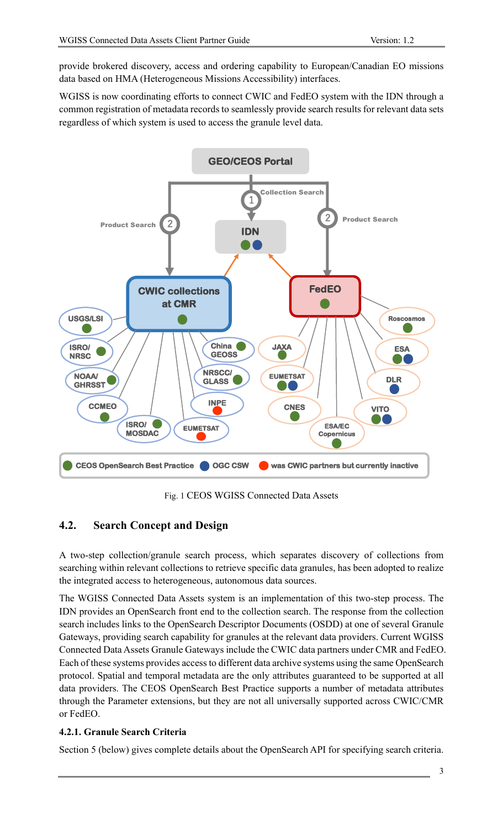provide brokered discovery, access and ordering capability to European/Canadian EO missions data based on HMA (Heterogeneous Missions Accessibility) interfaces.

WGISS is now coordinating efforts to connect CWIC and FedEO system with the IDN through a common registration of metadata records to seamlessly provide search results for relevant data sets regardless of which system is used to access the granule level data.



Fig. 1 CEOS WGISS Connected Data Assets

# **4.2. Search Concept and Design**

A two-step collection/granule search process, which separates discovery of collections from searching within relevant collections to retrieve specific data granules, has been adopted to realize the integrated access to heterogeneous, autonomous data sources.

The WGISS Connected Data Assets system is an implementation of this two-step process. The IDN provides an OpenSearch front end to the collection search. The response from the collection search includes links to the OpenSearch Descriptor Documents (OSDD) at one of several Granule Gateways, providing search capability for granules at the relevant data providers. Current WGISS Connected Data Assets Granule Gateways include the CWIC data partners under CMR and FedEO. Each of these systems provides access to different data archive systems using the same OpenSearch protocol. Spatial and temporal metadata are the only attributes guaranteed to be supported at all data providers. The CEOS OpenSearch Best Practice supports a number of metadata attributes through the Parameter extensions, but they are not all universally supported across CWIC/CMR or FedEO.

#### **4.2.1. Granule Search Criteria**

Section 5 (below) gives complete details about the OpenSearch API for specifying search criteria.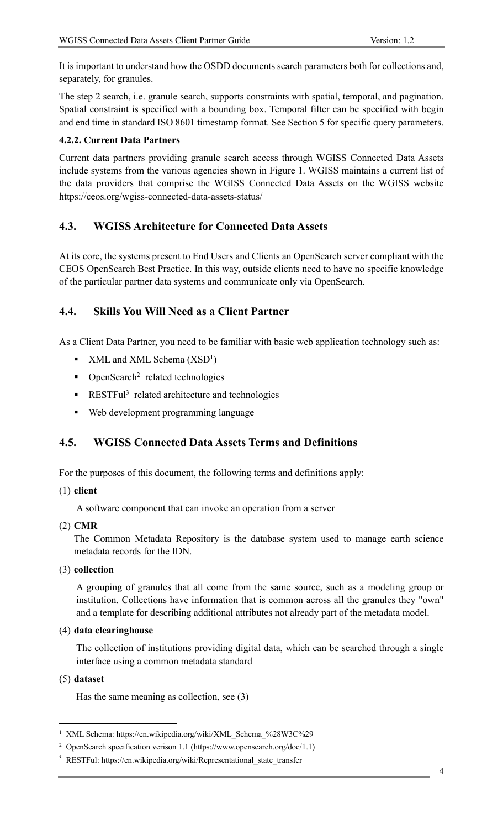It is important to understand how the OSDD documents search parameters both for collections and, separately, for granules.

The step 2 search, i.e. granule search, supports constraints with spatial, temporal, and pagination. Spatial constraint is specified with a bounding box. Temporal filter can be specified with begin and end time in standard ISO 8601 timestamp format. See Section 5 for specific query parameters.

#### **4.2.2. Current Data Partners**

Current data partners providing granule search access through WGISS Connected Data Assets include systems from the various agencies shown in Figure 1. WGISS maintains a current list of the data providers that comprise the WGISS Connected Data Assets on the WGISS website https://ceos.org/wgiss-connected-data-assets-status/

### **4.3. WGISS Architecture for Connected Data Assets**

At its core, the systems present to End Users and Clients an OpenSearch server compliant with the CEOS OpenSearch Best Practice. In this way, outside clients need to have no specific knowledge of the particular partner data systems and communicate only via OpenSearch.

### **4.4. Skills You Will Need as a Client Partner**

As a Client Data Partner, you need to be familiar with basic web application technology such as:

- $\blacksquare$  XML and XML Schema (XSD<sup>1</sup>)
- OpenSearch<sup>2</sup> related technologies
- RESTFul<sup>3</sup> related architecture and technologies
- Web development programming language

# **4.5. WGISS Connected Data Assets Terms and Definitions**

For the purposes of this document, the following terms and definitions apply:

#### (1) **client**

A software component that can invoke an operation from a server

(2) **CMR**

The Common Metadata Repository is the database system used to manage earth science metadata records for the IDN.

(3) **collection**

A grouping of granules that all come from the same source, such as a modeling group or institution. Collections have information that is common across all the granules they "own" and a template for describing additional attributes not already part of the metadata model.

(4) **data clearinghouse**

The collection of institutions providing digital data, which can be searched through a single interface using a common metadata standard

#### (5) **dataset**

Has the same meaning as collection, see (3)

<sup>1</sup> XML Schema: https://en.wikipedia.org/wiki/XML\_Schema\_%28W3C%29

<sup>2</sup> OpenSearch specification verison 1.1 (https://www.opensearch.org/doc/1.1)

<sup>&</sup>lt;sup>3</sup> RESTFul: https://en.wikipedia.org/wiki/Representational state transfer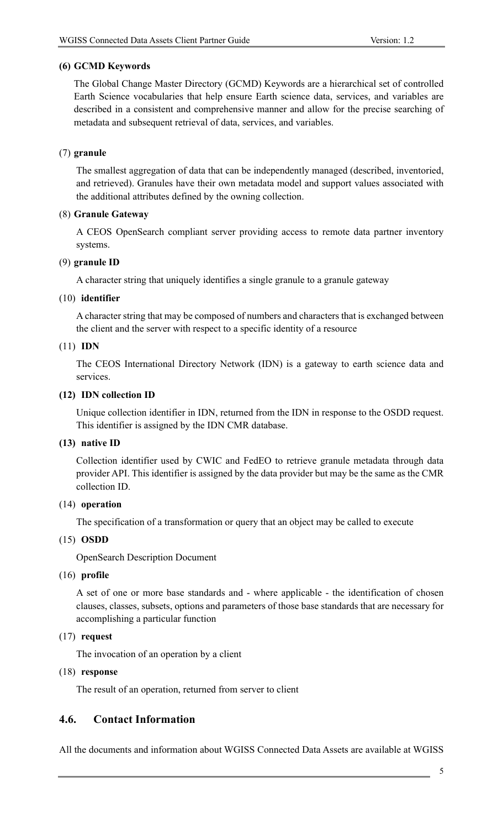#### **(6) GCMD Keywords**

The Global Change Master Directory (GCMD) Keywords are a hierarchical set of controlled Earth Science vocabularies that help ensure Earth science data, services, and variables are described in a consistent and comprehensive manner and allow for the precise searching of metadata and subsequent retrieval of data, services, and variables.

#### (7) **granule**

The smallest aggregation of data that can be independently managed (described, inventoried, and retrieved). Granules have their own metadata model and support values associated with the additional attributes defined by the owning collection.

#### (8) **Granule Gateway**

A CEOS OpenSearch compliant server providing access to remote data partner inventory systems.

#### (9) **granule ID**

A character string that uniquely identifies a single granule to a granule gateway

#### (10) **identifier**

A character string that may be composed of numbers and characters that is exchanged between the client and the server with respect to a specific identity of a resource

#### (11) **IDN**

The CEOS International Directory Network (IDN) is a gateway to earth science data and services.

#### **(12) IDN collection ID**

Unique collection identifier in IDN, returned from the IDN in response to the OSDD request. This identifier is assigned by the IDN CMR database.

#### **(13) native ID**

Collection identifier used by CWIC and FedEO to retrieve granule metadata through data provider API. This identifier is assigned by the data provider but may be the same as the CMR collection ID.

#### (14) **operation**

The specification of a transformation or query that an object may be called to execute

#### (15) **OSDD**

OpenSearch Description Document

#### (16) **profile**

A set of one or more base standards and - where applicable - the identification of chosen clauses, classes, subsets, options and parameters of those base standards that are necessary for accomplishing a particular function

#### (17) **request**

The invocation of an operation by a client

#### (18) **response**

The result of an operation, returned from server to client

### **4.6. Contact Information**

All the documents and information about WGISS Connected Data Assets are available at WGISS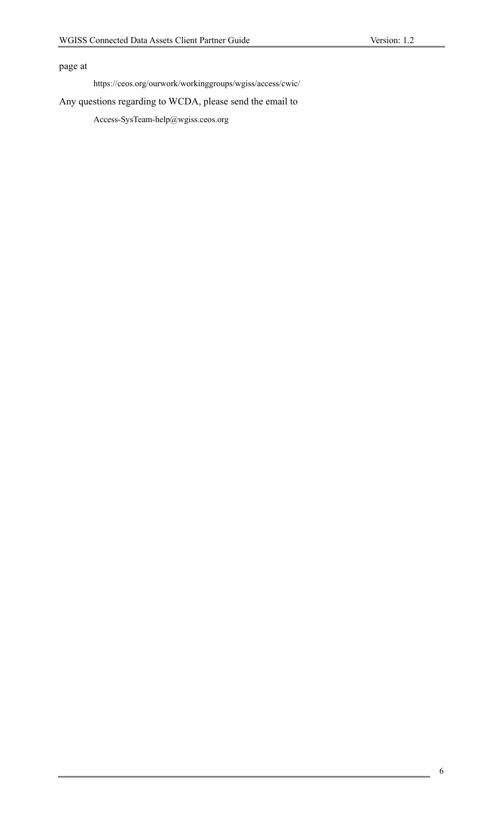# page at

https://ceos.org/ourwork/workinggroups/wgiss/access/cwic/

#### Any questions regarding to WCDA, please send the email to

Access-SysTeam-help@wgiss.ceos.org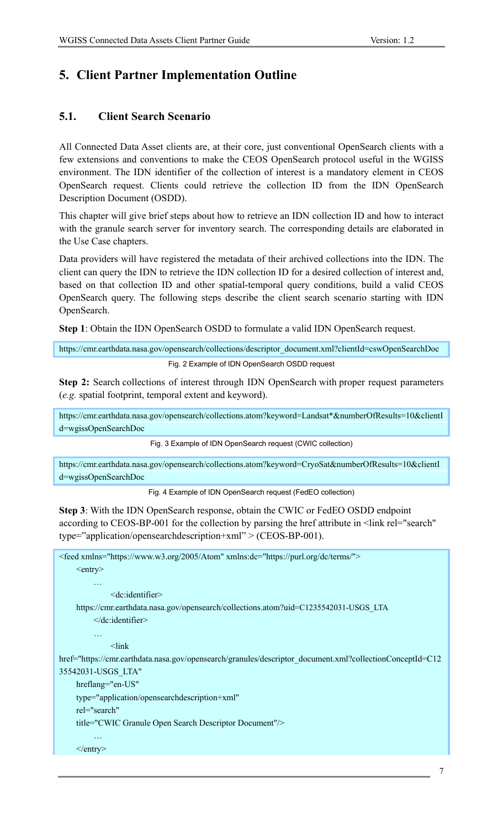# **5. Client Partner Implementation Outline**

### **5.1. Client Search Scenario**

All Connected Data Asset clients are, at their core, just conventional OpenSearch clients with a few extensions and conventions to make the CEOS OpenSearch protocol useful in the WGISS environment. The IDN identifier of the collection of interest is a mandatory element in CEOS OpenSearch request. Clients could retrieve the collection ID from the IDN OpenSearch Description Document (OSDD).

This chapter will give brief steps about how to retrieve an IDN collection ID and how to interact with the granule search server for inventory search. The corresponding details are elaborated in the Use Case chapters.

Data providers will have registered the metadata of their archived collections into the IDN. The client can query the IDN to retrieve the IDN collection ID for a desired collection of interest and, based on that collection ID and other spatial-temporal query conditions, build a valid CEOS OpenSearch query. The following steps describe the client search scenario starting with IDN OpenSearch.

**Step 1**: Obtain the IDN OpenSearch OSDD to formulate a valid IDN OpenSearch request.

https://cmr.earthdata.nasa.gov/opensearch/collections/descriptor\_document.xml?clientId=cswOpenSearchDoc Fig. 2 Example of IDN OpenSearch OSDD request

**Step 2:** Search collections of interest through IDN OpenSearch with proper request parameters (*e.g.* spatial footprint, temporal extent and keyword).

https://cmr.earthdata.nasa.gov/opensearch/collections.atom?keyword=Landsat\*&numberOfResults=10&clientI d=wgissOpenSearchDoc

Fig. 3 Example of IDN OpenSearch request (CWIC collection)

https://cmr.earthdata.nasa.gov/opensearch/collections.atom?keyword=CryoSat&numberOfResults=10&clientI d=wgissOpenSearchDoc

Fig. 4 Example of IDN OpenSearch request (FedEO collection)

**Step 3**: With the IDN OpenSearch response, obtain the CWIC or FedEO OSDD endpoint according to CEOS-BP-001 for the collection by parsing the href attribute in <link rel="search" type="application/opensearchdescription+xml" > (CEOS-BP-001).

```
<feed xmlns="https://www.w3.org/2005/Atom" xmlns:dc="https://purl.org/dc/terms/">
     \langleentry\rangle…
              <dc:identifier>
    https://cmr.earthdata.nasa.gov/opensearch/collections.atom?uid=C1235542031-USGS_LTA
          </dc:identifier>
          …
              <link
href="https://cmr.earthdata.nasa.gov/opensearch/granules/descriptor_document.xml?collectionConceptId=C12
35542031-USGS_LTA" 
    hreflang="en-US"
    type="application/opensearchdescription+xml" 
    rel="search" 
    title="CWIC Granule Open Search Descriptor Document"/>
          …
    \langleentry>
```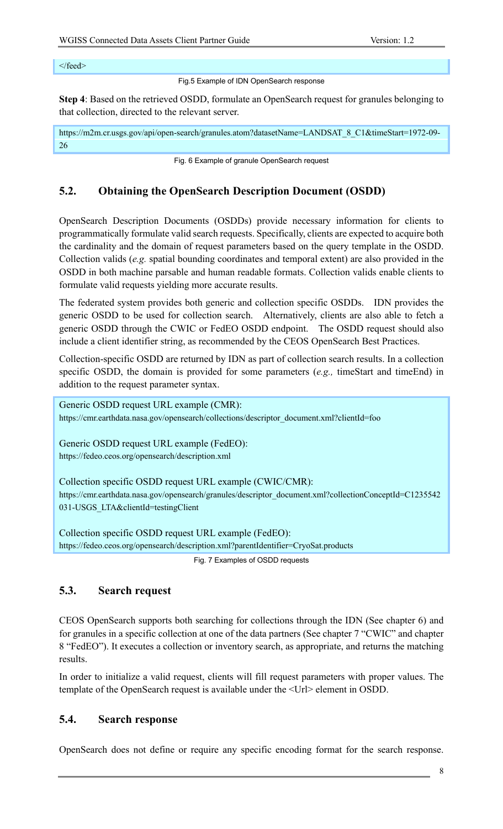#### </feed>

Fig.5 Example of IDN OpenSearch response

**Step 4**: Based on the retrieved OSDD, formulate an OpenSearch request for granules belonging to that collection, directed to the relevant server.

https://m2m.cr.usgs.gov/api/open-search/granules.atom?datasetName=LANDSAT\_8\_C1&timeStart=1972-09-26

Fig. 6 Example of granule OpenSearch request

### **5.2. Obtaining the OpenSearch Description Document (OSDD)**

OpenSearch Description Documents (OSDDs) provide necessary information for clients to programmatically formulate valid search requests. Specifically, clients are expected to acquire both the cardinality and the domain of request parameters based on the query template in the OSDD. Collection valids (*e.g.* spatial bounding coordinates and temporal extent) are also provided in the OSDD in both machine parsable and human readable formats. Collection valids enable clients to formulate valid requests yielding more accurate results.

The federated system provides both generic and collection specific OSDDs. IDN provides the generic OSDD to be used for collection search. Alternatively, clients are also able to fetch a generic OSDD through the CWIC or FedEO OSDD endpoint. The OSDD request should also include a client identifier string, as recommended by the CEOS OpenSearch Best Practices.

Collection-specific OSDD are returned by IDN as part of collection search results. In a collection specific OSDD, the domain is provided for some parameters (*e.g.,* timeStart and timeEnd) in addition to the request parameter syntax.

Generic OSDD request URL example (CMR): https://cmr.earthdata.nasa.gov/opensearch/collections/descriptor\_document.xml?clientId=foo

Generic OSDD request URL example (FedEO): https://fedeo.ceos.org/opensearch/description.xml

Collection specific OSDD request URL example (CWIC/CMR): https://cmr.earthdata.nasa.gov/opensearch/granules/descriptor\_document.xml?collectionConceptId=C1235542 031-USGS\_LTA&clientId=testingClient

Collection specific OSDD request URL example (FedEO): https://fedeo.ceos.org/opensearch/description.xml?parentIdentifier=CryoSat.products

Fig. 7 Examples of OSDD requests

### **5.3. Search request**

CEOS OpenSearch supports both searching for collections through the IDN (See chapter 6) and for granules in a specific collection at one of the data partners (See chapter 7 "CWIC" and chapter 8 "FedEO"). It executes a collection or inventory search, as appropriate, and returns the matching results.

In order to initialize a valid request, clients will fill request parameters with proper values. The template of the OpenSearch request is available under the <Url> element in OSDD.

### **5.4. Search response**

OpenSearch does not define or require any specific encoding format for the search response.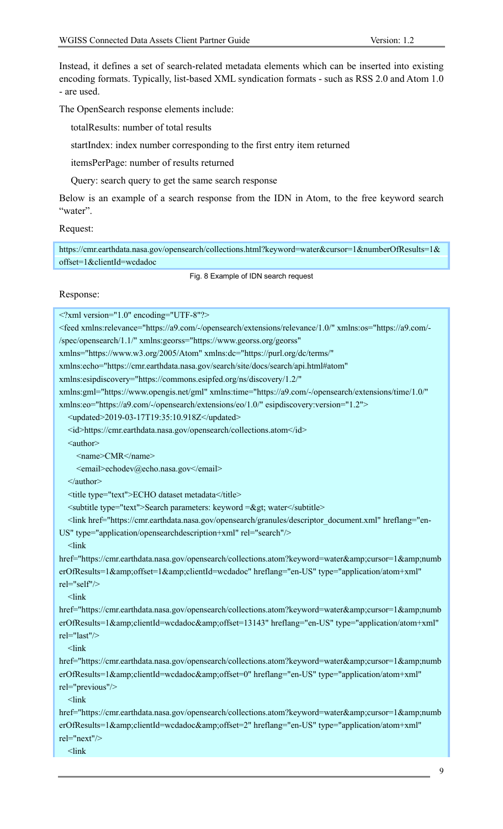Instead, it defines a set of search-related metadata elements which can be inserted into existing encoding formats. Typically, list-based XML syndication formats - such as RSS 2.0 and Atom 1.0 - are used.

The OpenSearch response elements include:

totalResults: number of total results

startIndex: index number corresponding to the first entry item returned

itemsPerPage: number of results returned

Query: search query to get the same search response

Below is an example of a search response from the IDN in Atom, to the free keyword search "water".

Request:

https://cmr.earthdata.nasa.gov/opensearch/collections.html?keyword=water&cursor=1&numberOfResults=1& offset=1&clientId=wcdadoc

Fig. 8 Example of IDN search request

Response:

<?xml version="1.0" encoding="UTF-8"?> <feed xmlns:relevance="https://a9.com/-/opensearch/extensions/relevance/1.0/" xmlns:os="https://a9.com/- /spec/opensearch/1.1/" xmlns:georss="https://www.georss.org/georss" xmlns="https://www.w3.org/2005/Atom" xmlns:dc="https://purl.org/dc/terms/" xmlns:echo="https://cmr.earthdata.nasa.gov/search/site/docs/search/api.html#atom" xmlns:esipdiscovery="https://commons.esipfed.org/ns/discovery/1.2/" xmlns:gml="https://www.opengis.net/gml" xmlns:time="https://a9.com/-/opensearch/extensions/time/1.0/" xmlns:eo="https://a9.com/-/opensearch/extensions/eo/1.0/" esipdiscovery:version="1.2"> <updated>2019-03-17T19:35:10.918Z</updated> <id>https://cmr.earthdata.nasa.gov/opensearch/collections.atom</id> <author> <name>CMR</name> <email>echodev@echo.nasa.gov</email> </author> <title type="text">ECHO dataset metadata</title> <subtitle type="text">Search parameters: keyword =&gt; water</subtitle> <link href="https://cmr.earthdata.nasa.gov/opensearch/granules/descriptor\_document.xml" hreflang="en-US" type="application/opensearchdescription+xml" rel="search"/>  $<$ link href="https://cmr.earthdata.nasa.gov/opensearch/collections.atom?keyword=water&cursor=1&numb erOfResults=1&offset=1&clientId=wcdadoc" hreflang="en-US" type="application/atom+xml" rel="self"/>  $<$ link href="https://cmr.earthdata.nasa.gov/opensearch/collections.atom?keyword=water&cursor=1&numb erOfResults=1&clientId=wcdadoc&offset=13143" hreflang="en-US" type="application/atom+xml" rel="last"/>  $<$ link href="https://cmr.earthdata.nasa.gov/opensearch/collections.atom?keyword=water&cursor=1&numb erOfResults=1&clientId=wcdadoc&offset=0" hreflang="en-US" type="application/atom+xml" rel="previous"/>  $\mathsf{link}$ href="https://cmr.earthdata.nasa.gov/opensearch/collections.atom?keyword=water&cursor=1&numb erOfResults=1&clientId=wcdadoc&offset=2" hreflang="en-US" type="application/atom+xml" rel="next"/>  $<$ link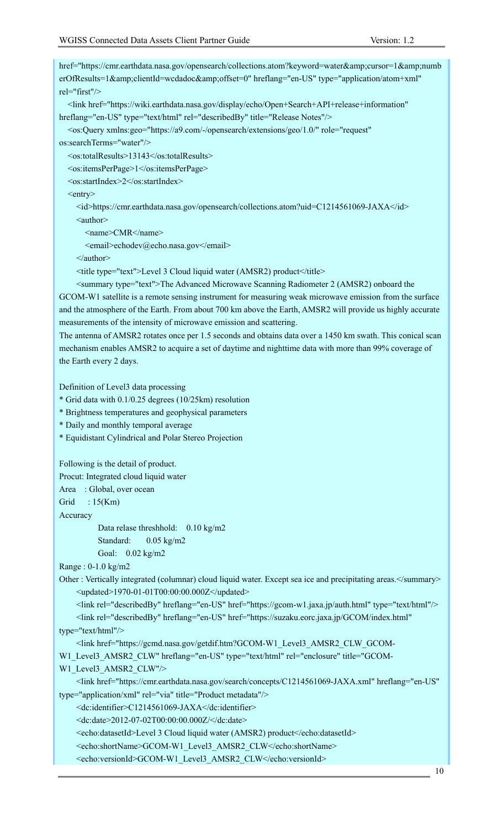| href="https://cmr.earthdata.nasa.gov/opensearch/collections.atom?keyword=water&cursor=1&numb                                                                                                                                                                                                                       |
|--------------------------------------------------------------------------------------------------------------------------------------------------------------------------------------------------------------------------------------------------------------------------------------------------------------------|
| erOfResults=1&clientId=wcdadoc&offset=0" hreflang="en-US" type="application/atom+xml"                                                                                                                                                                                                                              |
| $rel="first"$                                                                                                                                                                                                                                                                                                      |
| <link <="" href="https://wiki.earthdata.nasa.gov/display/echo/Open+Search+API+release+information" td=""/>                                                                                                                                                                                                         |
| hreflang="en-US" type="text/html" rel="describedBy" title="Release Notes"/>                                                                                                                                                                                                                                        |
| <os:query <="" role="request" td="" xmlns:geo="https://a9.com/-/opensearch/extensions/geo/1.0/"></os:query>                                                                                                                                                                                                        |
| os:searchTerms="water"/>                                                                                                                                                                                                                                                                                           |
| <os:totalresults>13143</os:totalresults>                                                                                                                                                                                                                                                                           |
| <os:itemsperpage>1</os:itemsperpage>                                                                                                                                                                                                                                                                               |
| <os:startindex>2</os:startindex>                                                                                                                                                                                                                                                                                   |
| <entry></entry>                                                                                                                                                                                                                                                                                                    |
| <id>https://cmr.earthdata.nasa.gov/opensearch/collections.atom?uid=C1214561069-JAXA</id>                                                                                                                                                                                                                           |
| <author></author>                                                                                                                                                                                                                                                                                                  |
| <name>CMR</name>                                                                                                                                                                                                                                                                                                   |
| <email>echodev@echo.nasa.gov</email>                                                                                                                                                                                                                                                                               |
| $\le$ /author>                                                                                                                                                                                                                                                                                                     |
| <title type="text">Level 3 Cloud liquid water (AMSR2) product</title>                                                                                                                                                                                                                                              |
| <summary type="text">The Advanced Microwave Scanning Radiometer 2 (AMSR2) onboard the</summary>                                                                                                                                                                                                                    |
| GCOM-W1 satellite is a remote sensing instrument for measuring weak microwave emission from the surface                                                                                                                                                                                                            |
| and the atmosphere of the Earth. From about 700 km above the Earth, AMSR2 will provide us highly accurate                                                                                                                                                                                                          |
| measurements of the intensity of microwave emission and scattering.                                                                                                                                                                                                                                                |
| The antenna of AMSR2 rotates once per 1.5 seconds and obtains data over a 1450 km swath. This conical scan                                                                                                                                                                                                         |
| mechanism enables AMSR2 to acquire a set of daytime and nighttime data with more than 99% coverage of                                                                                                                                                                                                              |
| the Earth every 2 days.                                                                                                                                                                                                                                                                                            |
| Definition of Level3 data processing                                                                                                                                                                                                                                                                               |
| * Grid data with 0.1/0.25 degrees (10/25km) resolution                                                                                                                                                                                                                                                             |
| * Brightness temperatures and geophysical parameters                                                                                                                                                                                                                                                               |
| * Daily and monthly temporal average                                                                                                                                                                                                                                                                               |
| * Equidistant Cylindrical and Polar Stereo Projection                                                                                                                                                                                                                                                              |
|                                                                                                                                                                                                                                                                                                                    |
| Following is the detail of product.                                                                                                                                                                                                                                                                                |
| Procut: Integrated cloud liquid water                                                                                                                                                                                                                                                                              |
| Area : Global, over ocean                                                                                                                                                                                                                                                                                          |
| : $15(Km)$<br>Grid                                                                                                                                                                                                                                                                                                 |
| Accuracy                                                                                                                                                                                                                                                                                                           |
| Data relase threshhold: 0.10 kg/m2                                                                                                                                                                                                                                                                                 |
| Standard:<br>$0.05 \text{ kg/m2}$                                                                                                                                                                                                                                                                                  |
| Goal: 0.02 kg/m2                                                                                                                                                                                                                                                                                                   |
| Range: $0-1.0$ kg/m2                                                                                                                                                                                                                                                                                               |
| Other : Vertically integrated (columnar) cloud liquid water. Except sea ice and precipitating areas.                                                                                                                                                                                                               |
| <updated>1970-01-01T00:00:00.000Z</updated>                                                                                                                                                                                                                                                                        |
| <link href="https://gcom-w1.jaxa.jp/auth.html" hreflang="en-US" rel="describedBy" type="text/html"/>                                                                                                                                                                                                               |
| <link <="" href="https://suzaku.eorc.jaxa.jp/GCOM/index.html" hreflang="en-US" rel="describedBy" td=""/>                                                                                                                                                                                                           |
| type="text/html"/>                                                                                                                                                                                                                                                                                                 |
| <link href="https://gcmd.nasa.gov/getdif.htm?GCOM-W1_Level3_AMSR2 CLW GCOM-&lt;/td&gt;&lt;/tr&gt;&lt;tr&gt;&lt;td&gt;W1 Level3 AMSR2 CLW" hreflang="en-US" rel="enclosure" title="GCOM-&lt;/td&gt;&lt;/tr&gt;&lt;tr&gt;&lt;td&gt;&lt;/td&gt;&lt;/tr&gt;&lt;tr&gt;&lt;td&gt;W1 Level3 AMSR2 CLW" type="text/html"/> |
| <link <="" href="https://cmr.earthdata.nasa.gov/search/concepts/C1214561069-JAXA.xml" hreflang="en-US" td=""/>                                                                                                                                                                                                     |
| type="application/xml" rel="via" title="Product metadata"/>                                                                                                                                                                                                                                                        |
| <dc:identifier>C1214561069-JAXA</dc:identifier>                                                                                                                                                                                                                                                                    |
| <dc:date>2012-07-02T00:00:00.000Z/</dc:date>                                                                                                                                                                                                                                                                       |
| <echo:datasetid>Level 3 Cloud liquid water (AMSR2) product</echo:datasetid>                                                                                                                                                                                                                                        |

<echo:versionId>GCOM-W1\_Level3\_AMSR2\_CLW</echo:versionId>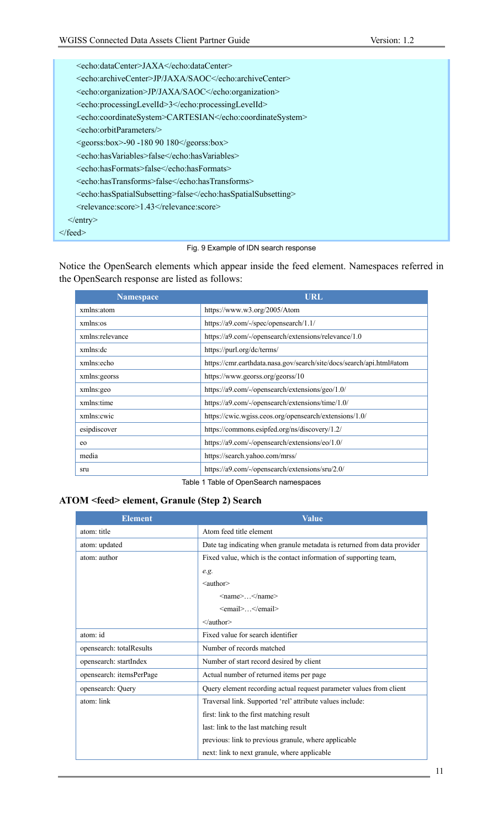| <echo:datacenter>JAXA</echo:datacenter>                                           |  |  |  |
|-----------------------------------------------------------------------------------|--|--|--|
| <echo:archivecenter>JP/JAXA/SAOC</echo:archivecenter>                             |  |  |  |
| <echo:organization>JP/JAXA/SAOC</echo:organization>                               |  |  |  |
| <echo:processinglevelid>3</echo:processinglevelid>                                |  |  |  |
| <echo:coordinatesystem>CARTESIAN</echo:coordinatesystem>                          |  |  |  |
| $\le$ echo:orbitParameters $\ge$                                                  |  |  |  |
| $\langle g\text{eors:box}\rangle - 90 - 18090180 \langle g\text{eors:box}\rangle$ |  |  |  |
| <echo:hasvariables>false</echo:hasvariables>                                      |  |  |  |
| <echo:hasformats>false</echo:hasformats>                                          |  |  |  |
| <echo:hastransforms>false</echo:hastransforms>                                    |  |  |  |
| <echo:hasspatialsubsetting>false</echo:hasspatialsubsetting>                      |  |  |  |
| <relevance:score>1.43</relevance:score>                                           |  |  |  |
| $\langle$ entry $\rangle$                                                         |  |  |  |
| $\langle$ feed $\rangle$                                                          |  |  |  |

#### Fig. 9 Example of IDN search response

Notice the OpenSearch elements which appear inside the feed element. Namespaces referred in the OpenSearch response are listed as follows:

| <b>Namespace</b> | URL                                                                  |  |
|------------------|----------------------------------------------------------------------|--|
| xmlns:atom       | https://www.w3.org/2005/Atom                                         |  |
| xmlns:os         | https://a9.com/-/spec/opensearch/1.1/                                |  |
| xmlns:relevance  | https://a9.com/-/opensearch/extensions/relevance/1.0                 |  |
| xmlns:dc         | https://purl.org/dc/terms/                                           |  |
| xmlns:echo       | https://cmr.earthdata.nasa.gov/search/site/docs/search/api.html#atom |  |
| xmlns:georss     | https://www.georss.org/georss/10                                     |  |
| xmlns:geo        | https://a9.com/-/opensearch/extensions/geo/1.0/                      |  |
| xmlns:time       | https://a9.com/-/opensearch/extensions/time/1.0/                     |  |
| xmlns: cwic      | https://cwic.wgiss.ceos.org/opensearch/extensions/1.0/               |  |
| esipdiscover     | https://commons.esipfed.org/ns/discovery/1.2/                        |  |
| eo               | https://a9.com/-/opensearch/extensions/eo/1.0/                       |  |
| media            | https://search.yahoo.com/mrss/                                       |  |
| sru              | https://a9.com/-/opensearch/extensions/sru/2.0/                      |  |
|                  |                                                                      |  |

Table 1 Table of OpenSearch namespaces

#### **ATOM <feed> element, Granule (Step 2) Search**

| <b>Element</b>           | <b>Value</b>                                                             |  |
|--------------------------|--------------------------------------------------------------------------|--|
| atom: title              | Atom feed title element                                                  |  |
| atom: updated            | Date tag indicating when granule metadata is returned from data provider |  |
| atom: author             | Fixed value, which is the contact information of supporting team,        |  |
|                          | e.g.                                                                     |  |
|                          | $\leq$ author $\geq$                                                     |  |
|                          | $\langle$ name $\rangle$ $\langle$ name $\rangle$                        |  |
|                          | <email></email>                                                          |  |
|                          | $\leq$ author>                                                           |  |
| atom: id                 | Fixed value for search identifier                                        |  |
| opensearch: totalResults | Number of records matched                                                |  |
| opensearch: startIndex   | Number of start record desired by client                                 |  |
| opensearch: itemsPerPage | Actual number of returned items per page                                 |  |
| opensearch: Query        | Query element recording actual request parameter values from client      |  |
| atom: link               | Traversal link. Supported 'rel' attribute values include:                |  |
|                          | first: link to the first matching result                                 |  |
|                          | last: link to the last matching result                                   |  |
|                          | previous: link to previous granule, where applicable                     |  |
|                          | next: link to next granule, where applicable                             |  |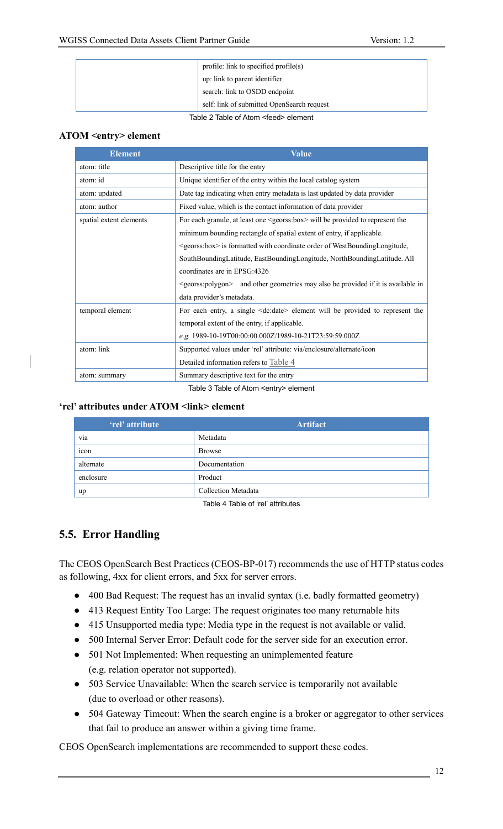| profile: link to specified $\text{profile}(s)$<br>up: link to parent identifier<br>search: link to OSDD endpoint |  |                                             |                                            |
|------------------------------------------------------------------------------------------------------------------|--|---------------------------------------------|--------------------------------------------|
|                                                                                                                  |  |                                             | self: link of submitted OpenSearch request |
|                                                                                                                  |  | Table 2 Table of Atom <feed> element</feed> |                                            |

#### **ATOM <entry> element**

| <b>Element</b>          | Value                                                                                             |  |
|-------------------------|---------------------------------------------------------------------------------------------------|--|
| atom: title             | Descriptive title for the entry                                                                   |  |
| atom: id                | Unique identifier of the entry within the local catalog system                                    |  |
| atom: updated           | Date tag indicating when entry metadata is last updated by data provider                          |  |
| atom: author            | Fixed value, which is the contact information of data provider                                    |  |
| spatial extent elements | For each granule, at least one $\leq$ georss:box> will be provided to represent the               |  |
|                         | minimum bounding rectangle of spatial extent of entry, if applicable.                             |  |
|                         | <georss:box> is formatted with coordinate order of WestBoundingLongitude,</georss:box>            |  |
|                         | SouthBoundingLatitude, EastBoundingLongitude, NorthBoundingLatitude. All                          |  |
|                         | coordinates are in EPSG:4326                                                                      |  |
|                         | <georss:polygon> and other geometries may also be provided if it is available in</georss:polygon> |  |
|                         | data provider's metadata.                                                                         |  |
| temporal element        | For each entry, a single <dc:date> element will be provided to represent the</dc:date>            |  |
|                         | temporal extent of the entry, if applicable.                                                      |  |
|                         | e.g. 1989-10-19T00:00:00.000Z/1989-10-21T23:59:59.000Z                                            |  |
| atom: link              | Supported values under 'rel' attribute: via/enclosure/alternate/icon                              |  |
|                         | Detailed information refers to Table 4                                                            |  |
| atom: summary           | Summary descriptive text for the entry                                                            |  |

Table 3 Table of Atom <entry> element

#### **'rel' attributes under ATOM <link> element**

| 'rel' attribute | <b>Artifact</b>     |
|-----------------|---------------------|
| via             | Metadata            |
| 1con            | <b>Browse</b>       |
| alternate       | Documentation       |
| enclosure       | Product             |
| up              | Collection Metadata |

Table 4 Table of 'rel' attributes

# **5.5. Error Handling**

The CEOS OpenSearch Best Practices (CEOS-BP-017) recommends the use of HTTP status codes as following, 4xx for client errors, and 5xx for server errors.

- 400 Bad Request: The request has an invalid syntax (i.e. badly formatted geometry)
- 413 Request Entity Too Large: The request originates too many returnable hits
- 415 Unsupported media type: Media type in the request is not available or valid.
- 500 Internal Server Error: Default code for the server side for an execution error.
- 501 Not Implemented: When requesting an unimplemented feature (e.g. relation operator not supported).
- 503 Service Unavailable: When the search service is temporarily not available (due to overload or other reasons).
- 504 Gateway Timeout: When the search engine is a broker or aggregator to other services that fail to produce an answer within a giving time frame.

CEOS OpenSearch implementations are recommended to support these codes.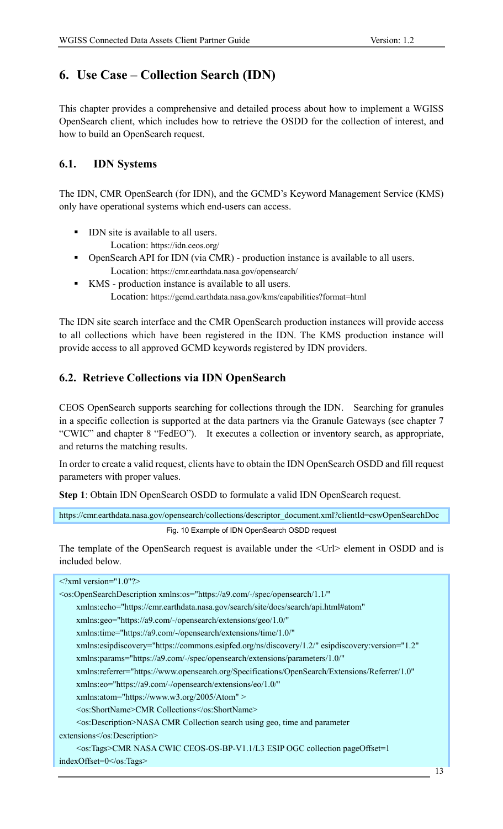# **6. Use Case – Collection Search (IDN)**

This chapter provides a comprehensive and detailed process about how to implement a WGISS OpenSearch client, which includes how to retrieve the OSDD for the collection of interest, and how to build an OpenSearch request.

### **6.1. IDN Systems**

The IDN, CMR OpenSearch (for IDN), and the GCMD's Keyword Management Service (KMS) only have operational systems which end-users can access.

- **•** IDN site is available to all users. Location: https://idn.ceos.org/
- § OpenSearch API for IDN (via CMR) production instance is available to all users. Location: https://cmr.earthdata.nasa.gov/opensearch/
- KMS production instance is available to all users. Location: https://gcmd.earthdata.nasa.gov/kms/capabilities?format=html

The IDN site search interface and the CMR OpenSearch production instances will provide access to all collections which have been registered in the IDN. The KMS production instance will provide access to all approved GCMD keywords registered by IDN providers.

# **6.2. Retrieve Collections via IDN OpenSearch**

CEOS OpenSearch supports searching for collections through the IDN. Searching for granules in a specific collection is supported at the data partners via the Granule Gateways (see chapter 7 "CWIC" and chapter 8 "FedEO"). It executes a collection or inventory search, as appropriate, and returns the matching results.

In order to create a valid request, clients have to obtain the IDN OpenSearch OSDD and fill request parameters with proper values.

**Step 1**: Obtain IDN OpenSearch OSDD to formulate a valid IDN OpenSearch request.

https://cmr.earthdata.nasa.gov/opensearch/collections/descriptor\_document.xml?clientId=cswOpenSearchDoc

Fig. 10 Example of IDN OpenSearch OSDD request

The template of the OpenSearch request is available under the <Url> element in OSDD and is included below.

| $\leq$ ?xml version="1.0"?>                                                                                       |
|-------------------------------------------------------------------------------------------------------------------|
| <os:opensearchdescription <="" td="" xmlns:os="https://a9.com/-/spec/opensearch/1.1/"></os:opensearchdescription> |
| xmlns:echo="https://cmr.earthdata.nasa.gov/search/site/docs/search/api.html#atom"                                 |
| xmlns:geo="https://a9.com/-/opensearch/extensions/geo/1.0/"                                                       |
| xmlns:time="https://a9.com/-/opensearch/extensions/time/1.0/"                                                     |
| xmlns:esipdiscovery="https://commons.esipfed.org/ns/discovery/1.2/" esipdiscovery:version="1.2"                   |
| xmlns:params="https://a9.com/-/spec/opensearch/extensions/parameters/1.0/"                                        |
| xmlns:referrer="https://www.opensearch.org/Specifications/OpenSearch/Extensions/Referrer/1.0"                     |
| xmlns:eo="https://a9.com/-/opensearch/extensions/eo/1.0/"                                                         |
| xmlns:atom="https://www.w3.org/2005/Atom" >                                                                       |
| <os:shortname>CMR Collections</os:shortname>                                                                      |
| <os:description>NASA CMR Collection search using geo, time and parameter</os:description>                         |
| extensions                                                                                                        |
| <os:tags>CMR NASA CWIC CEOS-OS-BP-V1.1/L3 ESIP OGC collection pageOffset=1</os:tags>                              |
| $indexOffset = 0 < /os:Tags$                                                                                      |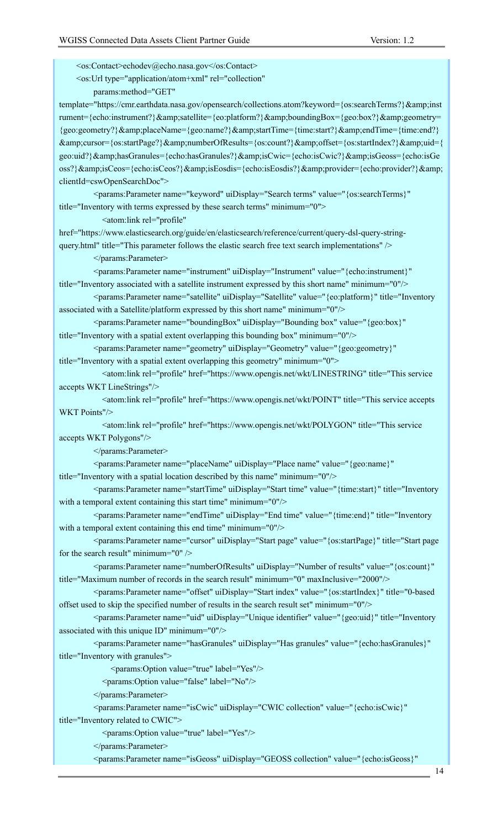<os:Contact>echodev@echo.nasa.gov</os:Contact>

<os:Url type="application/atom+xml" rel="collection"

params:method="GET"

template="https://cmr.earthdata.nasa.gov/opensearch/collections.atom?keyword={os:searchTerms?}&inst rument={echo:instrument?}&satellite={eo:platform?}&boundingBox={geo:box?}&geometry= {geo:geometry?}&placeName={geo:name?}&startTime={time:start?}&endTime={time:end?} &cursor={os:startPage?}&numberOfResults={os:count?}&offset={os:startIndex?}&uid={ geo:uid?}&hasGranules={echo:hasGranules?}&isCwic={echo:isCwic?}&isGeoss={echo:isGe oss?}&isCeos={echo:isCeos?}&isEosdis={echo:isEosdis?}&provider={echo:provider?}& clientId=cswOpenSearchDoc">

 <params:Parameter name="keyword" uiDisplay="Search terms" value="{os:searchTerms}" title="Inventory with terms expressed by these search terms" minimum="0">

<atom:link rel="profile"

href="https://www.elasticsearch.org/guide/en/elasticsearch/reference/current/query-dsl-query-stringquery.html" title="This parameter follows the elastic search free text search implementations" />

</params:Parameter>

 <params:Parameter name="instrument" uiDisplay="Instrument" value="{echo:instrument}" title="Inventory associated with a satellite instrument expressed by this short name" minimum="0"/>

 <params:Parameter name="satellite" uiDisplay="Satellite" value="{eo:platform}" title="Inventory associated with a Satellite/platform expressed by this short name" minimum="0"/>

 <params:Parameter name="boundingBox" uiDisplay="Bounding box" value="{geo:box}" title="Inventory with a spatial extent overlapping this bounding box" minimum="0"/>

<params:Parameter name="geometry" uiDisplay="Geometry" value="{geo:geometry}"

title="Inventory with a spatial extent overlapping this geometry" minimum="0">

 <atom:link rel="profile" href="https://www.opengis.net/wkt/LINESTRING" title="This service accepts WKT LineStrings"/>

 <atom:link rel="profile" href="https://www.opengis.net/wkt/POINT" title="This service accepts WKT Points"/>

 <atom:link rel="profile" href="https://www.opengis.net/wkt/POLYGON" title="This service accepts WKT Polygons"/>

</params:Parameter>

 <params:Parameter name="placeName" uiDisplay="Place name" value="{geo:name}" title="Inventory with a spatial location described by this name" minimum="0"/>

 <params:Parameter name="startTime" uiDisplay="Start time" value="{time:start}" title="Inventory with a temporal extent containing this start time" minimum="0"/>

 <params:Parameter name="endTime" uiDisplay="End time" value="{time:end}" title="Inventory with a temporal extent containing this end time" minimum="0"/>

 <params:Parameter name="cursor" uiDisplay="Start page" value="{os:startPage}" title="Start page for the search result" minimum="0"  $\rightarrow$ 

 <params:Parameter name="numberOfResults" uiDisplay="Number of results" value="{os:count}" title="Maximum number of records in the search result" minimum="0" maxInclusive="2000"/>

 <params:Parameter name="offset" uiDisplay="Start index" value="{os:startIndex}" title="0-based offset used to skip the specified number of results in the search result set" minimum="0"/>

 <params:Parameter name="uid" uiDisplay="Unique identifier" value="{geo:uid}" title="Inventory associated with this unique ID" minimum="0"/>

 <params:Parameter name="hasGranules" uiDisplay="Has granules" value="{echo:hasGranules}" title="Inventory with granules">

<params:Option value="true" label="Yes"/>

<params:Option value="false" label="No"/>

</params:Parameter>

 <params:Parameter name="isCwic" uiDisplay="CWIC collection" value="{echo:isCwic}" title="Inventory related to CWIC">

<params:Option value="true" label="Yes"/>

</params:Parameter>

<params:Parameter name="isGeoss" uiDisplay="GEOSS collection" value="{echo:isGeoss}"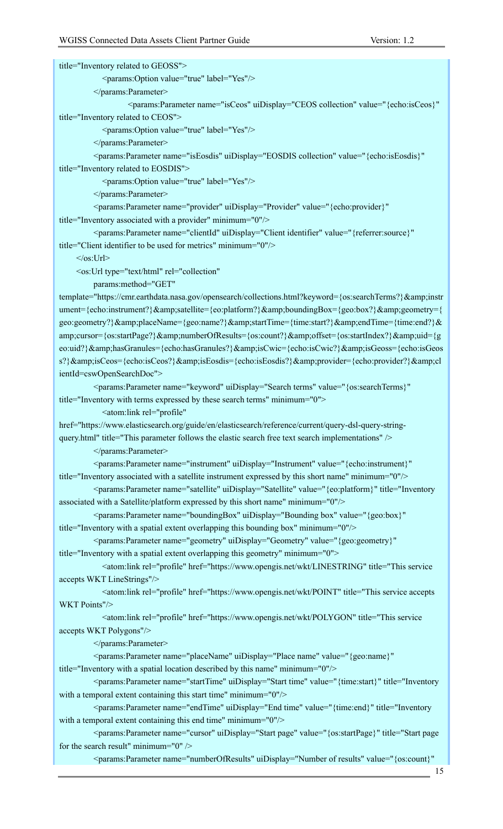title="Inventory related to GEOSS">

<params:Option value="true" label="Yes"/>

</params:Parameter>

<params:Parameter name="isCeos" uiDisplay="CEOS collection" value="{echo:isCeos}"

title="Inventory related to CEOS">

<params:Option value="true" label="Yes"/>

</params:Parameter>

 <params:Parameter name="isEosdis" uiDisplay="EOSDIS collection" value="{echo:isEosdis}" title="Inventory related to EOSDIS">

<params:Option value="true" label="Yes"/>

</params:Parameter>

 <params:Parameter name="provider" uiDisplay="Provider" value="{echo:provider}" title="Inventory associated with a provider" minimum="0"/>

 <params:Parameter name="clientId" uiDisplay="Client identifier" value="{referrer:source}" title="Client identifier to be used for metrics" minimum="0"/>

 $<$ /os:Url $>$ 

<os:Url type="text/html" rel="collection"

params:method="GET"

template="https://cmr.earthdata.nasa.gov/opensearch/collections.html?keyword={os:searchTerms?}&instr ument={echo:instrument?}&satellite={eo:platform?}&boundingBox={geo:box?}&geometry={ geo:geometry?}&placeName={geo:name?}&startTime={time:start?}&endTime={time:end?}& amp;cursor={os:startPage?}&numberOfResults={os:count?}&offset={os:startIndex?}&uid={g eo:uid?}&hasGranules={echo:hasGranules?}&isCwic={echo:isCwic?}&isGeoss={echo:isGeos s?}&isCeos={echo:isCeos?}&isEosdis={echo:isEosdis?}&provider={echo:provider?}&cl ientId=cswOpenSearchDoc">

 <params:Parameter name="keyword" uiDisplay="Search terms" value="{os:searchTerms}" title="Inventory with terms expressed by these search terms" minimum="0">

<atom:link rel="profile"

href="https://www.elasticsearch.org/guide/en/elasticsearch/reference/current/query-dsl-query-stringquery.html" title="This parameter follows the elastic search free text search implementations" />

</params:Parameter>

 <params:Parameter name="instrument" uiDisplay="Instrument" value="{echo:instrument}" title="Inventory associated with a satellite instrument expressed by this short name" minimum="0"/>

 <params:Parameter name="satellite" uiDisplay="Satellite" value="{eo:platform}" title="Inventory associated with a Satellite/platform expressed by this short name" minimum="0"/>

 <params:Parameter name="boundingBox" uiDisplay="Bounding box" value="{geo:box}" title="Inventory with a spatial extent overlapping this bounding box" minimum="0"/>

<params:Parameter name="geometry" uiDisplay="Geometry" value="{geo:geometry}"

title="Inventory with a spatial extent overlapping this geometry" minimum="0">

 <atom:link rel="profile" href="https://www.opengis.net/wkt/LINESTRING" title="This service accepts WKT LineStrings"/>

 <atom:link rel="profile" href="https://www.opengis.net/wkt/POINT" title="This service accepts WKT Points"/>

 <atom:link rel="profile" href="https://www.opengis.net/wkt/POLYGON" title="This service accepts WKT Polygons"/>

</params:Parameter>

<params:Parameter name="placeName" uiDisplay="Place name" value="{geo:name}"

title="Inventory with a spatial location described by this name" minimum="0"/>

 <params:Parameter name="startTime" uiDisplay="Start time" value="{time:start}" title="Inventory with a temporal extent containing this start time" minimum="0"/>

 <params:Parameter name="endTime" uiDisplay="End time" value="{time:end}" title="Inventory with a temporal extent containing this end time" minimum="0"/>

 <params:Parameter name="cursor" uiDisplay="Start page" value="{os:startPage}" title="Start page for the search result" minimum="0" />

<params:Parameter name="numberOfResults" uiDisplay="Number of results" value="{os:count}"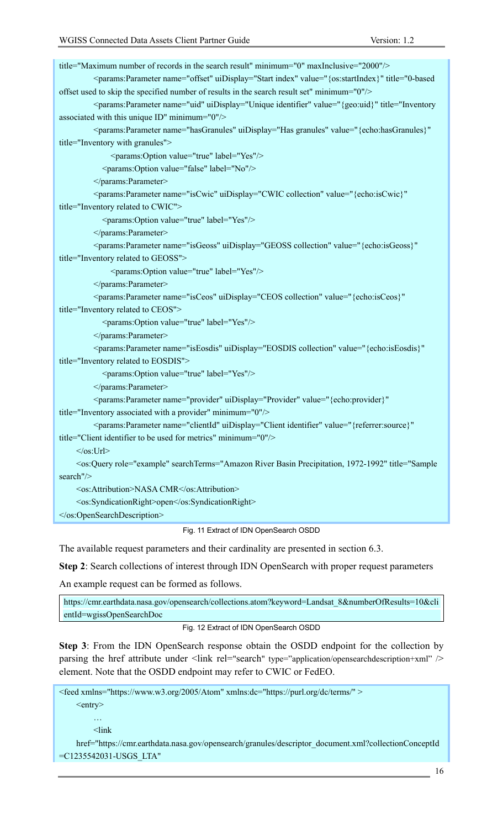title="Maximum number of records in the search result" minimum="0" maxInclusive="2000"/> <params:Parameter name="offset" uiDisplay="Start index" value="{os:startIndex}" title="0-based offset used to skip the specified number of results in the search result set" minimum="0"/> <params:Parameter name="uid" uiDisplay="Unique identifier" value="{geo:uid}" title="Inventory associated with this unique ID" minimum="0"/> <params:Parameter name="hasGranules" uiDisplay="Has granules" value="{echo:hasGranules}" title="Inventory with granules"> <params:Option value="true" label="Yes"/> <params:Option value="false" label="No"/> </params:Parameter> <params:Parameter name="isCwic" uiDisplay="CWIC collection" value="{echo:isCwic}" title="Inventory related to CWIC"> <params:Option value="true" label="Yes"/> </params:Parameter> <params:Parameter name="isGeoss" uiDisplay="GEOSS collection" value="{echo:isGeoss}" title="Inventory related to GEOSS"> <params:Option value="true" label="Yes"/> </params:Parameter> <params:Parameter name="isCeos" uiDisplay="CEOS collection" value="{echo:isCeos}" title="Inventory related to CEOS"> <params:Option value="true" label="Yes"/> </params:Parameter> <params:Parameter name="isEosdis" uiDisplay="EOSDIS collection" value="{echo:isEosdis}" title="Inventory related to EOSDIS"> <params:Option value="true" label="Yes"/> </params:Parameter> <params:Parameter name="provider" uiDisplay="Provider" value="{echo:provider}" title="Inventory associated with a provider" minimum="0"/> <params:Parameter name="clientId" uiDisplay="Client identifier" value="{referrer:source}" title="Client identifier to be used for metrics" minimum="0"/>  $<$ /os:Url> <os:Query role="example" searchTerms="Amazon River Basin Precipitation, 1972-1992" title="Sample search"/> <os:Attribution>NASA CMR</os:Attribution> <os:SyndicationRight>open</os:SyndicationRight> </os:OpenSearchDescription> Fig. 11 Extract of IDN OpenSearch OSDD

The available request parameters and their cardinality are presented in section 6.3.

**Step 2**: Search collections of interest through IDN OpenSearch with proper request parameters

An example request can be formed as follows.

https://cmr.earthdata.nasa.gov/opensearch/collections.atom?keyword=Landsat\_8&numberOfResults=10&cli entId=wgissOpenSearchDoc

#### Fig. 12 Extract of IDN OpenSearch OSDD

**Step 3**: From the IDN OpenSearch response obtain the OSDD endpoint for the collection by parsing the href attribute under <link rel="search" type="application/opensearchdescription+xml" /> element. Note that the OSDD endpoint may refer to CWIC or FedEO.

```
<feed xmlns="https://www.w3.org/2005/Atom" xmlns:dc="https://purl.org/dc/terms/" >
    <entry>
         …
         <link
    href="https://cmr.earthdata.nasa.gov/opensearch/granules/descriptor_document.xml?collectionConceptId
=C1235542031-USGS_LTA"
```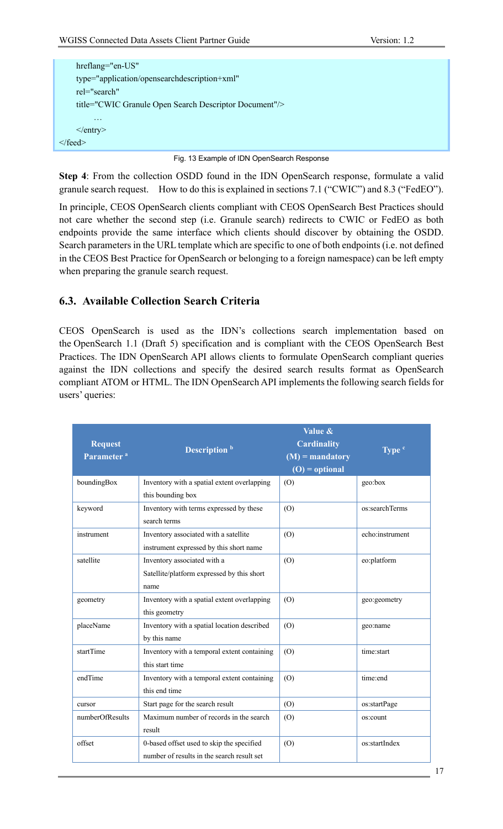| hreflang="en-US"                                       |                                            |
|--------------------------------------------------------|--------------------------------------------|
| type="application/opensearchdescription+xml"           |                                            |
| rel="search"                                           |                                            |
| title="CWIC Granule Open Search Descriptor Document"/> |                                            |
| $\cdots$                                               |                                            |
| $\le$ /entry>                                          |                                            |
| $\langle$ feed $>$                                     |                                            |
|                                                        | Fig. 13 Example of IDN OpenSearch Response |

**Step 4**: From the collection OSDD found in the IDN OpenSearch response, formulate a valid granule search request. How to do this is explained in sections 7.1 ("CWIC") and 8.3 ("FedEO").

In principle, CEOS OpenSearch clients compliant with CEOS OpenSearch Best Practices should not care whether the second step (i.e. Granule search) redirects to CWIC or FedEO as both endpoints provide the same interface which clients should discover by obtaining the OSDD. Search parameters in the URL template which are specific to one of both endpoints (i.e. not defined in the CEOS Best Practice for OpenSearch or belonging to a foreign namespace) can be left empty when preparing the granule search request.

### **6.3. Available Collection Search Criteria**

CEOS OpenSearch is used as the IDN's collections search implementation based on the OpenSearch 1.1 (Draft 5) specification and is compliant with the CEOS OpenSearch Best Practices. The IDN OpenSearch API allows clients to formulate OpenSearch compliant queries against the IDN collections and specify the desired search results format as OpenSearch compliant ATOM or HTML. The IDN OpenSearch API implements the following search fields for users' queries:

| <b>Request</b><br>Parameter <sup>a</sup> | Description <sup>b</sup>                                                                | Value &<br><b>Cardinality</b><br>$(M)$ = mandatory<br>$(O) =$ optional | $Typec$         |
|------------------------------------------|-----------------------------------------------------------------------------------------|------------------------------------------------------------------------|-----------------|
| boundingBox                              | Inventory with a spatial extent overlapping<br>this bounding box                        | (O)                                                                    | geo:box         |
| keyword                                  | Inventory with terms expressed by these<br>search terms                                 | (O)                                                                    | os:searchTerms  |
| instrument                               | Inventory associated with a satellite<br>instrument expressed by this short name        | (O)                                                                    | echo:instrument |
| satellite                                | Inventory associated with a<br>Satellite/platform expressed by this short<br>name       | (O)                                                                    | eo:platform     |
| geometry                                 | Inventory with a spatial extent overlapping<br>this geometry                            | (O)                                                                    | geo:geometry    |
| placeName                                | Inventory with a spatial location described<br>by this name                             | (O)                                                                    | geo:name        |
| startTime                                | Inventory with a temporal extent containing<br>this start time                          | (O)                                                                    | time:start      |
| endTime                                  | Inventory with a temporal extent containing<br>this end time                            | (0)                                                                    | time:end        |
| cursor                                   | Start page for the search result                                                        | (O)                                                                    | os:startPage    |
| numberOfResults                          | Maximum number of records in the search<br>result                                       | (O)                                                                    | os:count        |
| offset                                   | 0-based offset used to skip the specified<br>number of results in the search result set | (O)                                                                    | os:startIndex   |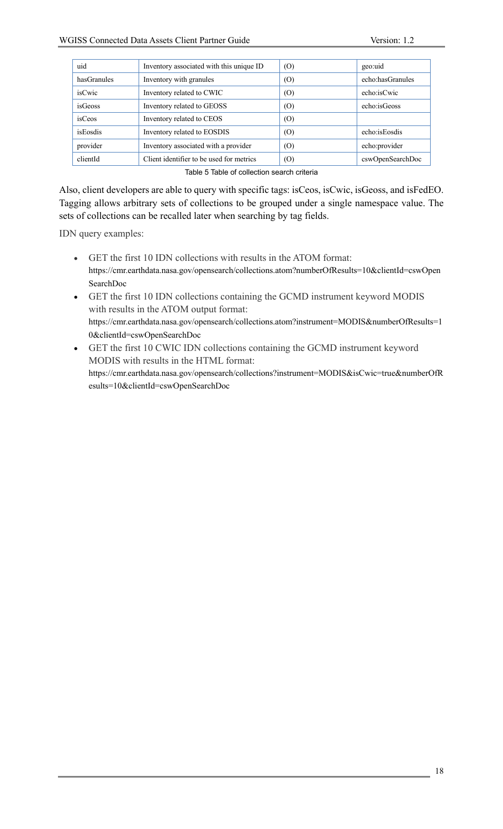| uid         | Inventory associated with this unique ID | (O) | geo:uid          |
|-------------|------------------------------------------|-----|------------------|
| hasGranules | Inventory with granules                  | (0) | echo:hasGranules |
| isCwic      | Inventory related to CWIC                | (0) | echo:isCwic      |
| isGeoss     | Inventory related to GEOSS               | (0) | echo:isGeoss     |
| isCeos      | Inventory related to CEOS                | (0) |                  |
| isEosdis    | Inventory related to EOSDIS              | (0) | echo:isEosdis    |
| provider    | Inventory associated with a provider     | (0) | echo:provider    |
| clientId    | Client identifier to be used for metrics | (0) | cswOpenSearchDoc |
|             |                                          |     |                  |

Table 5 Table of collection search criteria

Also, client developers are able to query with specific tags: isCeos, isCwic, isGeoss, and isFedEO. Tagging allows arbitrary sets of collections to be grouped under a single namespace value. The sets of collections can be recalled later when searching by tag fields.

IDN query examples:

- GET the first 10 IDN collections with results in the ATOM format: https://cmr.earthdata.nasa.gov/opensearch/collections.atom?numberOfResults=10&clientId=cswOpen SearchDoc
- GET the first 10 IDN collections containing the GCMD instrument keyword MODIS with results in the ATOM output format: https://cmr.earthdata.nasa.gov/opensearch/collections.atom?instrument=MODIS&numberOfResults=1 0&clientId=cswOpenSearchDoc
- GET the first 10 CWIC IDN collections containing the GCMD instrument keyword MODIS with results in the HTML format: https://cmr.earthdata.nasa.gov/opensearch/collections?instrument=MODIS&isCwic=true&numberOfR esults=10&clientId=cswOpenSearchDoc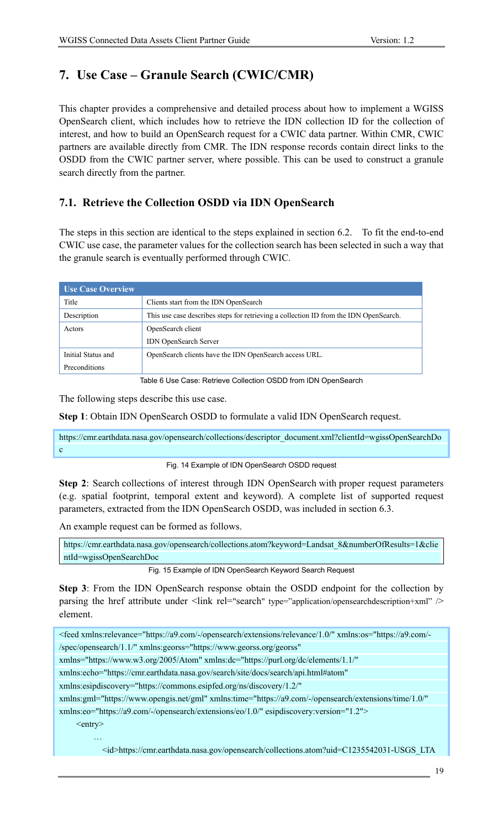# **7. Use Case – Granule Search (CWIC/CMR)**

This chapter provides a comprehensive and detailed process about how to implement a WGISS OpenSearch client, which includes how to retrieve the IDN collection ID for the collection of interest, and how to build an OpenSearch request for a CWIC data partner. Within CMR, CWIC partners are available directly from CMR. The IDN response records contain direct links to the OSDD from the CWIC partner server, where possible. This can be used to construct a granule search directly from the partner.

# **7.1. Retrieve the Collection OSDD via IDN OpenSearch**

The steps in this section are identical to the steps explained in section 6.2. To fit the end-to-end CWIC use case, the parameter values for the collection search has been selected in such a way that the granule search is eventually performed through CWIC.

| <b>Use Case Overview</b> |                                                                                       |
|--------------------------|---------------------------------------------------------------------------------------|
| Title                    | Clients start from the IDN OpenSearch                                                 |
| Description              | This use case describes steps for retrieving a collection ID from the IDN OpenSearch. |
| Actors                   | OpenSearch client                                                                     |
|                          | <b>IDN</b> OpenSearch Server                                                          |
| Initial Status and       | OpenSearch clients have the IDN OpenSearch access URL.                                |
| Preconditions            |                                                                                       |

Table 6 Use Case: Retrieve Collection OSDD from IDN OpenSearch

The following steps describe this use case.

**Step 1**: Obtain IDN OpenSearch OSDD to formulate a valid IDN OpenSearch request.

https://cmr.earthdata.nasa.gov/opensearch/collections/descriptor\_document.xml?clientId=wgissOpenSearchDo c

#### Fig. 14 Example of IDN OpenSearch OSDD request

**Step 2**: Search collections of interest through IDN OpenSearch with proper request parameters (e.g. spatial footprint, temporal extent and keyword). A complete list of supported request parameters, extracted from the IDN OpenSearch OSDD, was included in section 6.3.

An example request can be formed as follows.

https://cmr.earthdata.nasa.gov/opensearch/collections.atom?keyword=Landsat\_8&numberOfResults=1&clie ntId=wgissOpenSearchDoc

Fig. 15 Example of IDN OpenSearch Keyword Search Request

**Step 3**: From the IDN OpenSearch response obtain the OSDD endpoint for the collection by parsing the href attribute under <link rel="search" type="application/opensearchdescription+xml" /> element.

<feed xmlns:relevance="https://a9.com/-/opensearch/extensions/relevance/1.0/" xmlns:os="https://a9.com/- /spec/opensearch/1.1/" xmlns:georss="https://www.georss.org/georss"

xmlns="https://www.w3.org/2005/Atom" xmlns:dc="https://purl.org/dc/elements/1.1/"

xmlns:echo="https://cmr.earthdata.nasa.gov/search/site/docs/search/api.html#atom"

xmlns:esipdiscovery="https://commons.esipfed.org/ns/discovery/1.2/"

xmlns:gml="https://www.opengis.net/gml" xmlns:time="https://a9.com/-/opensearch/extensions/time/1.0/"

xmlns:eo="https://a9.com/-/opensearch/extensions/eo/1.0/" esipdiscovery:version="1.2">

 $\leq$ entry $>$ 

…

<id>https://cmr.earthdata.nasa.gov/opensearch/collections.atom?uid=C1235542031-USGS\_LTA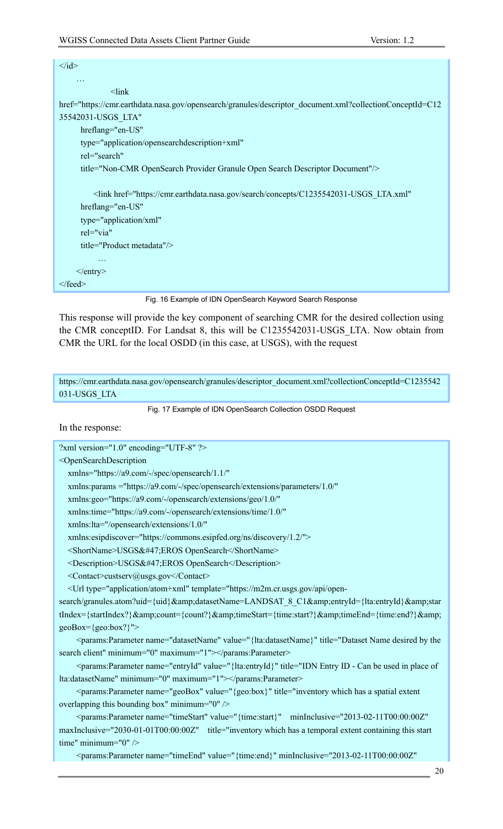| $\langle \text{id} \rangle$                                                                              |
|----------------------------------------------------------------------------------------------------------|
| $\cdots$                                                                                                 |
| $<$ lin $k$                                                                                              |
| href="https://cmr.earthdata.nasa.gov/opensearch/granules/descriptor_document.xml?collectionConceptId=C12 |
| 35542031-USGS LTA"                                                                                       |
| hreflang="en-US"                                                                                         |
| type="application/opensearchdescription+xml"                                                             |
| rel="search"                                                                                             |
| title="Non-CMR OpenSearch Provider Granule Open Search Descriptor Document"/>                            |
|                                                                                                          |
| <link <="" href="https://cmr.earthdata.nasa.gov/search/concepts/C1235542031-USGS LTA.xml" td=""/>        |
| hreflang="en-US"                                                                                         |
| type="application/xml"                                                                                   |
| rel="via"                                                                                                |
| title="Product metadata"/>                                                                               |
| $\cdots$                                                                                                 |
| $\langle$ entry>                                                                                         |
| $\le$ /feed>                                                                                             |

Fig. 16 Example of IDN OpenSearch Keyword Search Response

This response will provide the key component of searching CMR for the desired collection using the CMR conceptID. For Landsat 8, this will be C1235542031-USGS\_LTA. Now obtain from CMR the URL for the local OSDD (in this case, at USGS), with the request

https://cmr.earthdata.nasa.gov/opensearch/granules/descriptor\_document.xml?collectionConceptId=C1235542 031-USGS\_LTA

Fig. 17 Example of IDN OpenSearch Collection OSDD Request

In the response:

?xml version="1.0" encoding="UTF-8" ?>

<OpenSearchDescription xmlns="https://a9.com/-/spec/opensearch/1.1/"

xmlns:params ="https://a9.com/-/spec/opensearch/extensions/parameters/1.0/"

xmlns:geo="https://a9.com/-/opensearch/extensions/geo/1.0/"

xmlns:time="https://a9.com/-/opensearch/extensions/time/1.0/"

xmlns:lta="/opensearch/extensions/1.0/"

xmlns:esipdiscover="https://commons.esipfed.org/ns/discovery/1.2/">

<ShortName>USGS&#47;EROS OpenSearch</ShortName>

<Description>USGS&#47;EROS OpenSearch</Description>

<Contact>custserv@usgs.gov</Contact>

```
 <Url type="application/atom+xml" template="https://m2m.cr.usgs.gov/api/open-
```
search/granules.atom?uid={uid}&datasetName=LANDSAT\_8\_C1&entryId={lta:entryId}&star tIndex={startIndex?}&count={count?}&timeStart={time:start?}&timeEnd={time:end?}& geoBox={geo:box?}">

 <params:Parameter name="datasetName" value="{lta:datasetName}" title="Dataset Name desired by the search client" minimum="0" maximum="1"></params:Parameter>

 <params:Parameter name="entryId" value="{lta:entryId}" title="IDN Entry ID - Can be used in place of lta:datasetName" minimum="0" maximum="1"></params:Parameter>

 <params:Parameter name="geoBox" value="{geo:box}" title="inventory which has a spatial extent overlapping this bounding box" minimum="0" />

 <params:Parameter name="timeStart" value="{time:start}" minInclusive="2013-02-11T00:00:00Z" maxInclusive="2030-01-01T00:00:00Z" title="inventory which has a temporal extent containing this start time" minimum="0" />

<params:Parameter name="timeEnd" value="{time:end}" minInclusive="2013-02-11T00:00:00Z"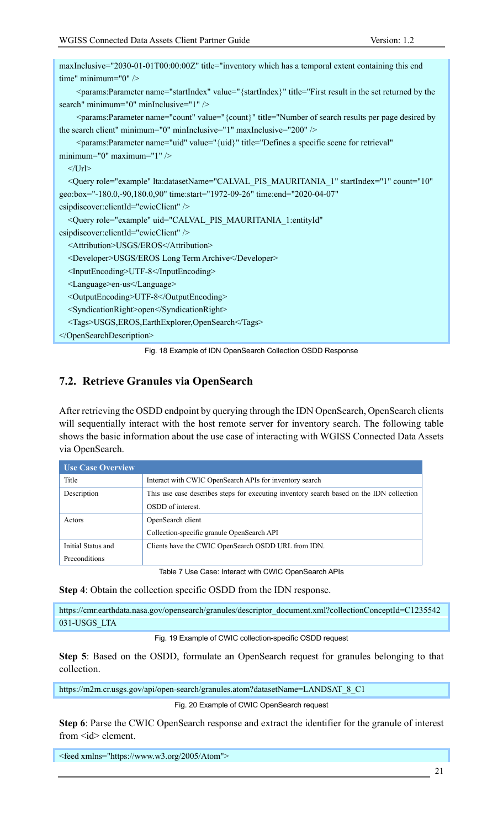| maxInclusive="2030-01-01T00:00:00Z" title="inventory which has a temporal extent containing this end                                                                                                                                           |
|------------------------------------------------------------------------------------------------------------------------------------------------------------------------------------------------------------------------------------------------|
| time" minimum=" $0"$ />                                                                                                                                                                                                                        |
| <params:parameter minimum="0" mininclusive="1" name="startIndex" title="First result in the set returned by the&lt;/td&gt;&lt;/tr&gt;&lt;tr&gt;&lt;td&gt;search" value="{startIndex}"></params:parameter>                                      |
| <params:parameter <math="" maxinclusive="200" minimum="0" mininclusive="1" name="count" title="Number of search results per page desired by&lt;/td&gt;&lt;/tr&gt;&lt;tr&gt;&lt;td&gt;the search client" value="{count}">\ge</params:parameter> |
| <params:parameter <="" name="uid" td="" title="Defines a specific scene for retrieval" value="{uid}"></params:parameter>                                                                                                                       |
| minimum="0" maximum="1" $\rightarrow$                                                                                                                                                                                                          |
| $<$ /Url>                                                                                                                                                                                                                                      |
| <query <="" count="10" lta:datasetname="CALVAL PIS MAURITANIA 1" role="example" startindex="1" td=""></query>                                                                                                                                  |
| geo:box="-180.0,-90,180.0,90" time:start="1972-09-26" time:end="2020-04-07"                                                                                                                                                                    |
| esipdiscover:clientId="cwicClient" />                                                                                                                                                                                                          |
| <query <="" role="example" td="" uid="CALVAL PIS MAURITANIA 1:entityId"></query>                                                                                                                                                               |
| esipdiscover:clientId="cwicClient" />                                                                                                                                                                                                          |
| <attribution>USGS/EROS</attribution>                                                                                                                                                                                                           |
| <developer>USGS/EROS Long Term Archive</developer>                                                                                                                                                                                             |
| <inputencoding>UTF-8</inputencoding>                                                                                                                                                                                                           |
| <language>en-us</language>                                                                                                                                                                                                                     |
| <outputencoding>UTF-8</outputencoding>                                                                                                                                                                                                         |
| <syndicationright>open</syndicationright>                                                                                                                                                                                                      |
| <tags>USGS,EROS,EarthExplorer,OpenSearch</tags>                                                                                                                                                                                                |
|                                                                                                                                                                                                                                                |
|                                                                                                                                                                                                                                                |

Fig. 18 Example of IDN OpenSearch Collection OSDD Response

### **7.2. Retrieve Granules via OpenSearch**

After retrieving the OSDD endpoint by querying through the IDN OpenSearch, OpenSearch clients will sequentially interact with the host remote server for inventory search. The following table shows the basic information about the use case of interacting with WGISS Connected Data Assets via OpenSearch.

| <b>Use Case Overview</b> |                                                                                          |  |
|--------------------------|------------------------------------------------------------------------------------------|--|
| Title                    | Interact with CWIC OpenSearch APIs for inventory search                                  |  |
| Description              | This use case describes steps for executing inventory search based on the IDN collection |  |
|                          | OSDD of interest.                                                                        |  |
| Actors                   | OpenSearch client                                                                        |  |
|                          | Collection-specific granule OpenSearch API                                               |  |
| Initial Status and       | Clients have the CWIC OpenSearch OSDD URL from IDN.                                      |  |
| Preconditions            |                                                                                          |  |

Table 7 Use Case: Interact with CWIC OpenSearch APIs

**Step 4**: Obtain the collection specific OSDD from the IDN response.

https://cmr.earthdata.nasa.gov/opensearch/granules/descriptor\_document.xml?collectionConceptId=C1235542 031-USGS\_LTA

Fig. 19 Example of CWIC collection-specific OSDD request

**Step 5**: Based on the OSDD, formulate an OpenSearch request for granules belonging to that collection.

https://m2m.cr.usgs.gov/api/open-search/granules.atom?datasetName=LANDSAT\_8\_C1

Fig. 20 Example of CWIC OpenSearch request

**Step 6**: Parse the CWIC OpenSearch response and extract the identifier for the granule of interest from <id> element.

<feed xmlns="https://www.w3.org/2005/Atom">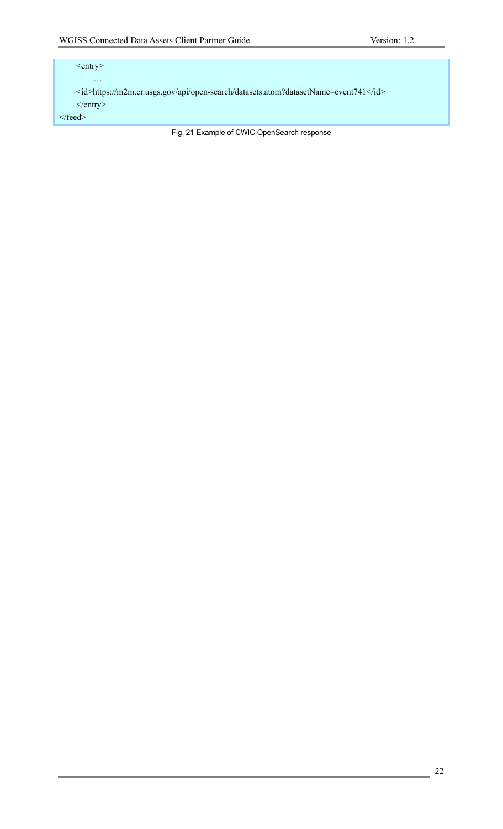### <entry> … <id>https://m2m.cr.usgs.gov/api/open-search/datasets.atom?datasetName=event741</id> </entry>  $<$  /feed $>$

Fig. 21 Example of CWIC OpenSearch response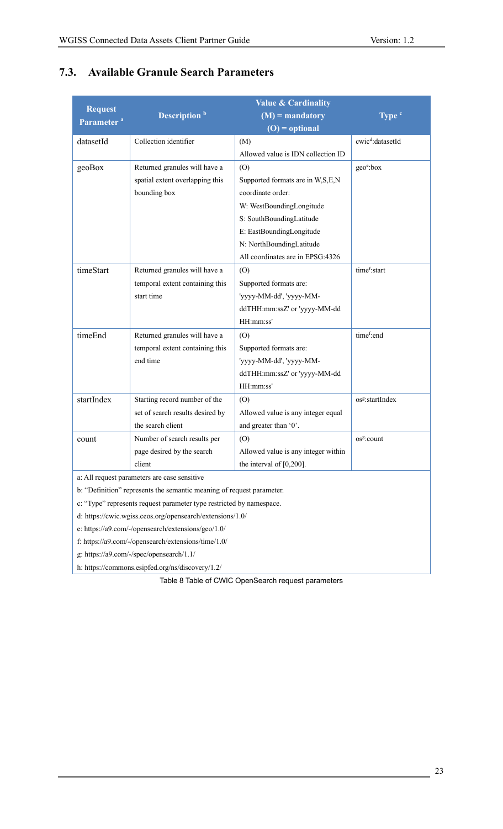|                                                                       | <b>Value &amp; Cardinality</b>   |                                     |                              |
|-----------------------------------------------------------------------|----------------------------------|-------------------------------------|------------------------------|
| <b>Request</b><br>Parameter <sup>a</sup>                              | Description <sup>b</sup>         | $(M)$ = mandatory                   | Type <sup>c</sup>            |
|                                                                       |                                  | $(O) =$ optional                    |                              |
| datasetId                                                             | Collection identifier            | (M)                                 | cwic <sup>d</sup> :datasetId |
|                                                                       |                                  | Allowed value is IDN collection ID  |                              |
| geoBox                                                                | Returned granules will have a    | (O)                                 | geo <sup>e</sup> :box        |
|                                                                       | spatial extent overlapping this  | Supported formats are in W,S,E,N    |                              |
|                                                                       | bounding box                     | coordinate order:                   |                              |
|                                                                       |                                  | W: WestBoundingLongitude            |                              |
|                                                                       |                                  | S: SouthBoundingLatitude            |                              |
|                                                                       |                                  | E: EastBoundingLongitude            |                              |
|                                                                       |                                  | N: NorthBoundingLatitude            |                              |
|                                                                       |                                  | All coordinates are in EPSG:4326    |                              |
| timeStart                                                             | Returned granules will have a    | (O)                                 | time <sup>f</sup> :start     |
|                                                                       | temporal extent containing this  | Supported formats are:              |                              |
|                                                                       | start time                       | 'yyyy-MM-dd', 'yyyy-MM-             |                              |
|                                                                       |                                  | ddTHH:mm:ssZ' or 'yyyy-MM-dd        |                              |
|                                                                       |                                  | HH:mm:ss'                           |                              |
| timeEnd                                                               | Returned granules will have a    | (O)                                 | time <sup>f</sup> :end       |
|                                                                       | temporal extent containing this  | Supported formats are:              |                              |
|                                                                       | end time                         | 'yyyy-MM-dd', 'yyyy-MM-             |                              |
|                                                                       |                                  | ddTHH:mm:ssZ' or 'yyyy-MM-dd        |                              |
|                                                                       |                                  | HH:mm:ss'                           |                              |
| startIndex                                                            | Starting record number of the    | (O)                                 | os <sup>g</sup> :startIndex  |
|                                                                       | set of search results desired by | Allowed value is any integer equal  |                              |
|                                                                       | the search client                | and greater than '0'.               |                              |
| count                                                                 | Number of search results per     | (O)                                 | os <sup>g</sup> :count       |
|                                                                       | page desired by the search       | Allowed value is any integer within |                              |
|                                                                       | client                           | the interval of $[0,200]$ .         |                              |
| a: All request parameters are case sensitive                          |                                  |                                     |                              |
| b: "Definition" represents the semantic meaning of request parameter. |                                  |                                     |                              |
| c: "Type" represents request parameter type restricted by namespace.  |                                  |                                     |                              |
| d: https://cwic.wgiss.ceos.org/opensearch/extensions/1.0/             |                                  |                                     |                              |
| e: https://a9.com/-/opensearch/extensions/geo/1.0/                    |                                  |                                     |                              |
| f: https://a9.com/-/opensearch/extensions/time/1.0/                   |                                  |                                     |                              |
| $\frac{1}{2}$ bttps://a0.aama//apaa/apaanaanaab/1.1/                  |                                  |                                     |                              |

# **7.3. Available Granule Search Parameters**

g: https://a9.com/-/spec/opensearch/1.1/

h: https://commons.esipfed.org/ns/discovery/1.2/

Table 8 Table of CWIC OpenSearch request parameters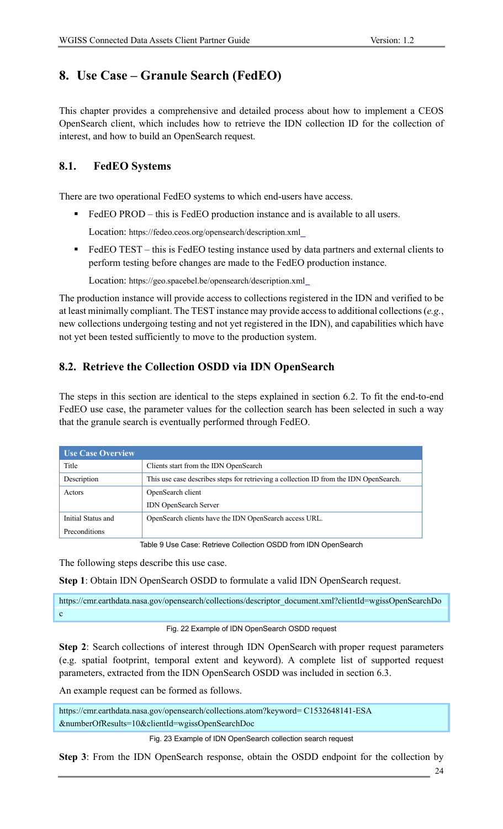# **8. Use Case – Granule Search (FedEO)**

This chapter provides a comprehensive and detailed process about how to implement a CEOS OpenSearch client, which includes how to retrieve the IDN collection ID for the collection of interest, and how to build an OpenSearch request.

# **8.1. FedEO Systems**

There are two operational FedEO systems to which end-users have access.

■ FedEO PROD – this is FedEO production instance and is available to all users.

Location: https://fedeo.ceos.org/opensearch/description.xml

■ FedEO TEST – this is FedEO testing instance used by data partners and external clients to perform testing before changes are made to the FedEO production instance.

Location: https://geo.spacebel.be/opensearch/description.xml

The production instance will provide access to collections registered in the IDN and verified to be at least minimally compliant. The TEST instance may provide access to additional collections (*e.g.*, new collections undergoing testing and not yet registered in the IDN), and capabilities which have not yet been tested sufficiently to move to the production system.

# **8.2. Retrieve the Collection OSDD via IDN OpenSearch**

The steps in this section are identical to the steps explained in section 6.2. To fit the end-to-end FedEO use case, the parameter values for the collection search has been selected in such a way that the granule search is eventually performed through FedEO.

| <b>Use Case Overview</b> |                                                                                       |
|--------------------------|---------------------------------------------------------------------------------------|
| Title                    | Clients start from the IDN OpenSearch                                                 |
| Description              | This use case describes steps for retrieving a collection ID from the IDN OpenSearch. |
| Actors                   | OpenSearch client                                                                     |
|                          | <b>IDN</b> OpenSearch Server                                                          |
| Initial Status and       | OpenSearch clients have the IDN OpenSearch access URL.                                |
| Preconditions            |                                                                                       |

Table 9 Use Case: Retrieve Collection OSDD from IDN OpenSearch

The following steps describe this use case.

**Step 1**: Obtain IDN OpenSearch OSDD to formulate a valid IDN OpenSearch request.

https://cmr.earthdata.nasa.gov/opensearch/collections/descriptor\_document.xml?clientId=wgissOpenSearchDo c

#### Fig. 22 Example of IDN OpenSearch OSDD request

**Step 2**: Search collections of interest through IDN OpenSearch with proper request parameters (e.g. spatial footprint, temporal extent and keyword). A complete list of supported request parameters, extracted from the IDN OpenSearch OSDD was included in section 6.3.

An example request can be formed as follows.

https://cmr.earthdata.nasa.gov/opensearch/collections.atom?keyword= C1532648141-ESA &numberOfResults=10&clientId=wgissOpenSearchDoc

Fig. 23 Example of IDN OpenSearch collection search request

**Step 3**: From the IDN OpenSearch response, obtain the OSDD endpoint for the collection by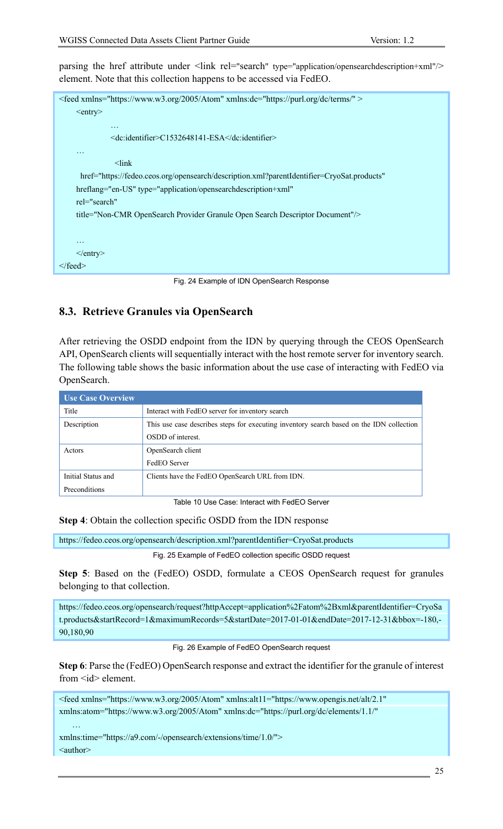parsing the href attribute under <link rel="search" type="application/opensearchdescription+xml"/> element. Note that this collection happens to be accessed via FedEO.



Fig. 24 Example of IDN OpenSearch Response

### **8.3. Retrieve Granules via OpenSearch**

After retrieving the OSDD endpoint from the IDN by querying through the CEOS OpenSearch API, OpenSearch clients will sequentially interact with the host remote server for inventory search. The following table shows the basic information about the use case of interacting with FedEO via OpenSearch.

| <b>Use Case Overview</b> |                                                                                          |
|--------------------------|------------------------------------------------------------------------------------------|
| Title                    | Interact with FedEO server for inventory search                                          |
| Description              | This use case describes steps for executing inventory search based on the IDN collection |
|                          | OSDD of interest.                                                                        |
| Actors                   | OpenSearch client                                                                        |
|                          | FedEO Server                                                                             |
| Initial Status and       | Clients have the FedEO OpenSearch URL from IDN.                                          |
| Preconditions            |                                                                                          |

Table 10 Use Case: Interact with FedEO Server

**Step 4**: Obtain the collection specific OSDD from the IDN response

https://fedeo.ceos.org/opensearch/description.xml?parentIdentifier=CryoSat.products

Fig. 25 Example of FedEO collection specific OSDD request

**Step 5**: Based on the (FedEO) OSDD, formulate a CEOS OpenSearch request for granules belonging to that collection.

https://fedeo.ceos.org/opensearch/request?httpAccept=application%2Fatom%2Bxml&parentIdentifier=CryoSa t.products&startRecord=1&maximumRecords=5&startDate=2017-01-01&endDate=2017-12-31&bbox=-180,- 90,180,90

#### Fig. 26 Example of FedEO OpenSearch request

**Step 6**: Parse the (FedEO) OpenSearch response and extract the identifier for the granule of interest from  $\langle id \rangle$  element.

<feed xmlns="https://www.w3.org/2005/Atom" xmlns:alt11="https://www.opengis.net/alt/2.1" xmlns:atom="https://www.w3.org/2005/Atom" xmlns:dc="https://purl.org/dc/elements/1.1/"

xmlns:time="https://a9.com/-/opensearch/extensions/time/1.0/"> <author>

…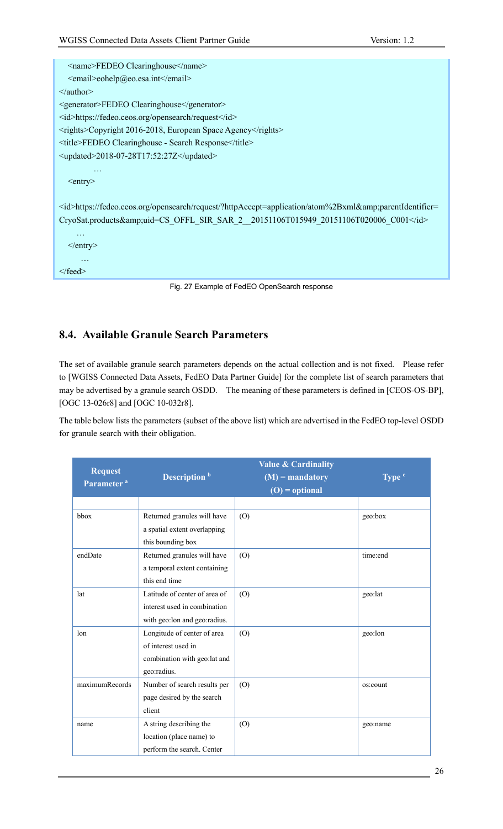| <name>FEDEO Clearinghouse</name>                                                                            |
|-------------------------------------------------------------------------------------------------------------|
| <email>eohelp@eo.esa.int</email>                                                                            |
| $\le$ /author>                                                                                              |
| <generator>FEDEO Clearinghouse</generator>                                                                  |
| <id>https://fedeo.ceos.org/opensearch/request</id>                                                          |
| <rights>Copyright 2016-2018, European Space Agency</rights>                                                 |
| <title>FEDEO Clearinghouse - Search Response</title>                                                        |
| $\leq$ updated>2018-07-28T17:52:27Z $\leq$ /updated>                                                        |
| $\cdot\cdot\cdot$                                                                                           |
| $<$ entry $>$                                                                                               |
|                                                                                                             |
| <id>https://fedeo.ceos.org/opensearch/request/?httpAccept=application/atom%2Bxml&amp;parentIdentifier=</id> |
| CryoSat.products&uid=CS_OFFL_SIR_SAR_2__20151106T015949_20151106T020006_C001                                |
| $\cdots$                                                                                                    |
| $\langle$ entry $\rangle$                                                                                   |
| $\ddotsc$                                                                                                   |
| $\langle$ feed>                                                                                             |
|                                                                                                             |

Fig. 27 Example of FedEO OpenSearch response

### **8.4. Available Granule Search Parameters**

The set of available granule search parameters depends on the actual collection and is not fixed. Please refer to [WGISS Connected Data Assets, FedEO Data Partner Guide] for the complete list of search parameters that may be advertised by a granule search OSDD. The meaning of these parameters is defined in [CEOS-OS-BP], [OGC 13-026r8] and [OGC 10-032r8].

The table below lists the parameters (subset of the above list) which are advertised in the FedEO top-level OSDD for granule search with their obligation.

| <b>Request</b><br>Parameter <sup>a</sup> | Description <sup>b</sup>       | <b>Value &amp; Cardinality</b><br>$(M)$ = mandatory<br>$(O) =$ optional | Type <sup>c</sup> |
|------------------------------------------|--------------------------------|-------------------------------------------------------------------------|-------------------|
|                                          |                                |                                                                         |                   |
| bbox                                     | Returned granules will have    | (O)                                                                     | geo:box           |
|                                          | a spatial extent overlapping   |                                                                         |                   |
|                                          | this bounding box              |                                                                         |                   |
| endDate                                  | Returned granules will have    | (O)                                                                     | time:end          |
|                                          | a temporal extent containing   |                                                                         |                   |
|                                          | this end time                  |                                                                         |                   |
| lat                                      | Latitude of center of area of  | (0)                                                                     | geo:lat           |
|                                          | interest used in combination   |                                                                         |                   |
|                                          | with geo: lon and geo: radius. |                                                                         |                   |
| lon                                      | Longitude of center of area    | (O)                                                                     | geo:lon           |
|                                          | of interest used in            |                                                                         |                   |
|                                          | combination with geo:lat and   |                                                                         |                   |
|                                          | geo:radius.                    |                                                                         |                   |
| maximumRecords                           | Number of search results per   | (O)                                                                     | os:count          |
|                                          | page desired by the search     |                                                                         |                   |
|                                          | client                         |                                                                         |                   |
| name                                     | A string describing the        | (O)                                                                     | geo:name          |
|                                          | location (place name) to       |                                                                         |                   |
|                                          | perform the search. Center     |                                                                         |                   |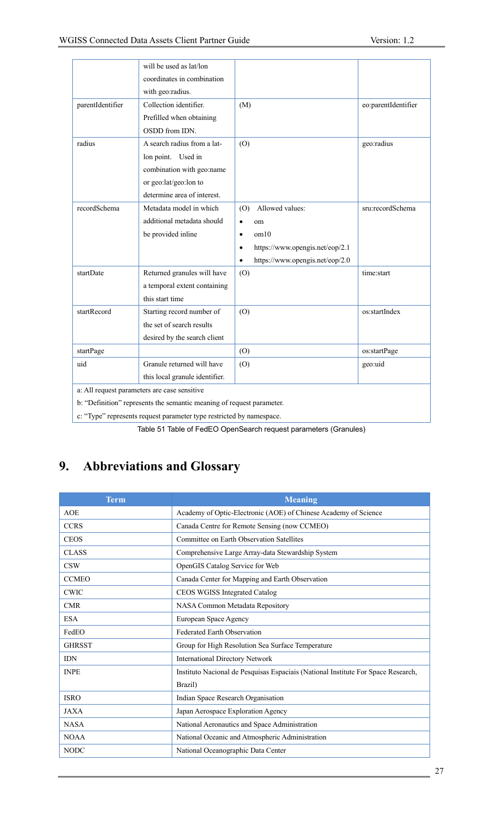|                                                                       | will be used as lat/lon        |                                 |                     |
|-----------------------------------------------------------------------|--------------------------------|---------------------------------|---------------------|
|                                                                       | coordinates in combination     |                                 |                     |
|                                                                       | with geo:radius.               |                                 |                     |
| parentIdentifier                                                      | Collection identifier.         | (M)                             | eo:parentIdentifier |
|                                                                       | Prefilled when obtaining       |                                 |                     |
|                                                                       | OSDD from IDN.                 |                                 |                     |
| radius                                                                | A search radius from a lat-    | (O)                             | geo:radius          |
|                                                                       | lon point. Used in             |                                 |                     |
|                                                                       | combination with geo:name      |                                 |                     |
|                                                                       | or geo:lat/geo:lon to          |                                 |                     |
|                                                                       | determine area of interest.    |                                 |                     |
| recordSchema                                                          | Metadata model in which        | Allowed values:<br>(0)          | sru:recordSchema    |
|                                                                       | additional metadata should     | om<br>$\bullet$                 |                     |
|                                                                       | be provided inline             | om10<br>$\bullet$               |                     |
|                                                                       |                                | https://www.opengis.net/eop/2.1 |                     |
|                                                                       |                                | https://www.opengis.net/eop/2.0 |                     |
| startDate                                                             | Returned granules will have    | (O)                             | time:start          |
|                                                                       | a temporal extent containing   |                                 |                     |
|                                                                       | this start time                |                                 |                     |
| startRecord                                                           | Starting record number of      | (O)                             | os:startIndex       |
|                                                                       | the set of search results      |                                 |                     |
|                                                                       | desired by the search client   |                                 |                     |
| startPage                                                             |                                | (O)                             | os:startPage        |
| uid                                                                   | Granule returned will have     | (0)                             | geo:uid             |
|                                                                       | this local granule identifier. |                                 |                     |
| a: All request parameters are case sensitive                          |                                |                                 |                     |
| b: "Definition" represents the semantic meaning of request parameter. |                                |                                 |                     |
| c: "Type" represents request parameter type restricted by namespace.  |                                |                                 |                     |

Table 51 Table of FedEO OpenSearch request parameters (Granules)

# **9. Abbreviations and Glossary**

| <b>Term</b>   | <b>Meaning</b>                                                                    |  |
|---------------|-----------------------------------------------------------------------------------|--|
| <b>AOE</b>    | Academy of Optic-Electronic (AOE) of Chinese Academy of Science                   |  |
| <b>CCRS</b>   | Canada Centre for Remote Sensing (now CCMEO)                                      |  |
| <b>CEOS</b>   | Committee on Earth Observation Satellites                                         |  |
| <b>CLASS</b>  | Comprehensive Large Array-data Stewardship System                                 |  |
| <b>CSW</b>    | OpenGIS Catalog Service for Web                                                   |  |
| <b>CCMEO</b>  | Canada Center for Mapping and Earth Observation                                   |  |
| <b>CWIC</b>   | CEOS WGISS Integrated Catalog                                                     |  |
| <b>CMR</b>    | NASA Common Metadata Repository                                                   |  |
| <b>ESA</b>    | European Space Agency                                                             |  |
| FedEO         | <b>Federated Earth Observation</b>                                                |  |
| <b>GHRSST</b> | Group for High Resolution Sea Surface Temperature                                 |  |
| <b>IDN</b>    | <b>International Directory Network</b>                                            |  |
| <b>INPE</b>   | Instituto Nacional de Pesquisas Espaciais (National Institute For Space Research, |  |
|               | Brazil)                                                                           |  |
| <b>ISRO</b>   | Indian Space Research Organisation                                                |  |
| <b>JAXA</b>   | Japan Aerospace Exploration Agency                                                |  |
| <b>NASA</b>   | National Aeronautics and Space Administration                                     |  |
| <b>NOAA</b>   | National Oceanic and Atmospheric Administration                                   |  |
| <b>NODC</b>   | National Oceanographic Data Center                                                |  |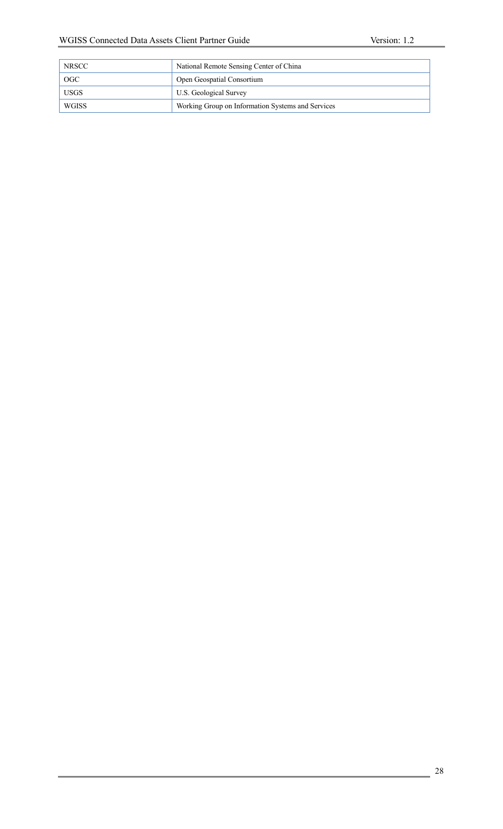| <b>NRSCC</b> | National Remote Sensing Center of China           |
|--------------|---------------------------------------------------|
| <b>OGC</b>   | Open Geospatial Consortium                        |
| <b>USGS</b>  | U.S. Geological Survey                            |
| WGISS        | Working Group on Information Systems and Services |